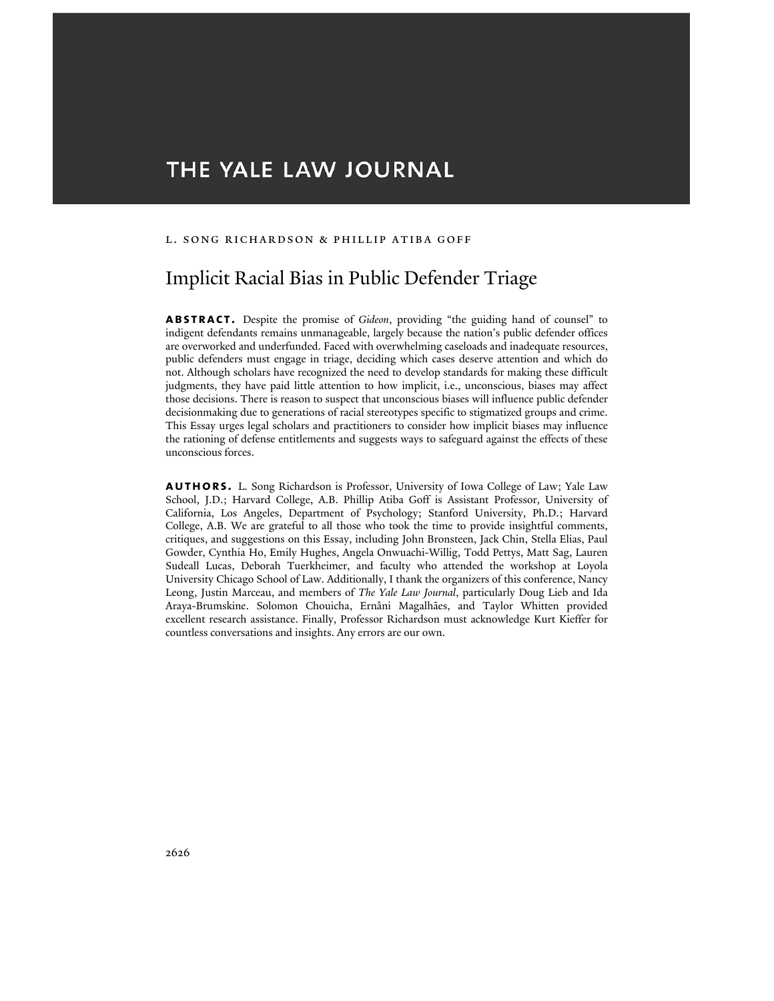# THE YALE LAW JOURNAL

#### L. Song Richardson & Phillip Atiba Goff

## Implicit Racial Bias in Public Defender Triage

**abstract.** Despite the promise of *Gideon*, providing "the guiding hand of counsel" to indigent defendants remains unmanageable, largely because the nation's public defender offices are overworked and underfunded. Faced with overwhelming caseloads and inadequate resources, public defenders must engage in triage, deciding which cases deserve attention and which do not. Although scholars have recognized the need to develop standards for making these difficult judgments, they have paid little attention to how implicit, i.e., unconscious, biases may affect those decisions. There is reason to suspect that unconscious biases will influence public defender decisionmaking due to generations of racial stereotypes specific to stigmatized groups and crime. This Essay urges legal scholars and practitioners to consider how implicit biases may influence the rationing of defense entitlements and suggests ways to safeguard against the effects of these unconscious forces.

**authors.** L. Song Richardson is Professor, University of Iowa College of Law; Yale Law School, J.D.; Harvard College, A.B. Phillip Atiba Goff is Assistant Professor, University of California, Los Angeles, Department of Psychology; Stanford University, Ph.D.; Harvard College, A.B. We are grateful to all those who took the time to provide insightful comments, critiques, and suggestions on this Essay, including John Bronsteen, Jack Chin, Stella Elias, Paul Gowder, Cynthia Ho, Emily Hughes, Angela Onwuachi-Willig, Todd Pettys, Matt Sag, Lauren Sudeall Lucas, Deborah Tuerkheimer, and faculty who attended the workshop at Loyola University Chicago School of Law. Additionally, I thank the organizers of this conference, Nancy Leong, Justin Marceau, and members of *The Yale Law Journal*, particularly Doug Lieb and Ida Araya-Brumskine. Solomon Chouicha, Ernâni Magalhães, and Taylor Whitten provided excellent research assistance. Finally, Professor Richardson must acknowledge Kurt Kieffer for countless conversations and insights. Any errors are our own.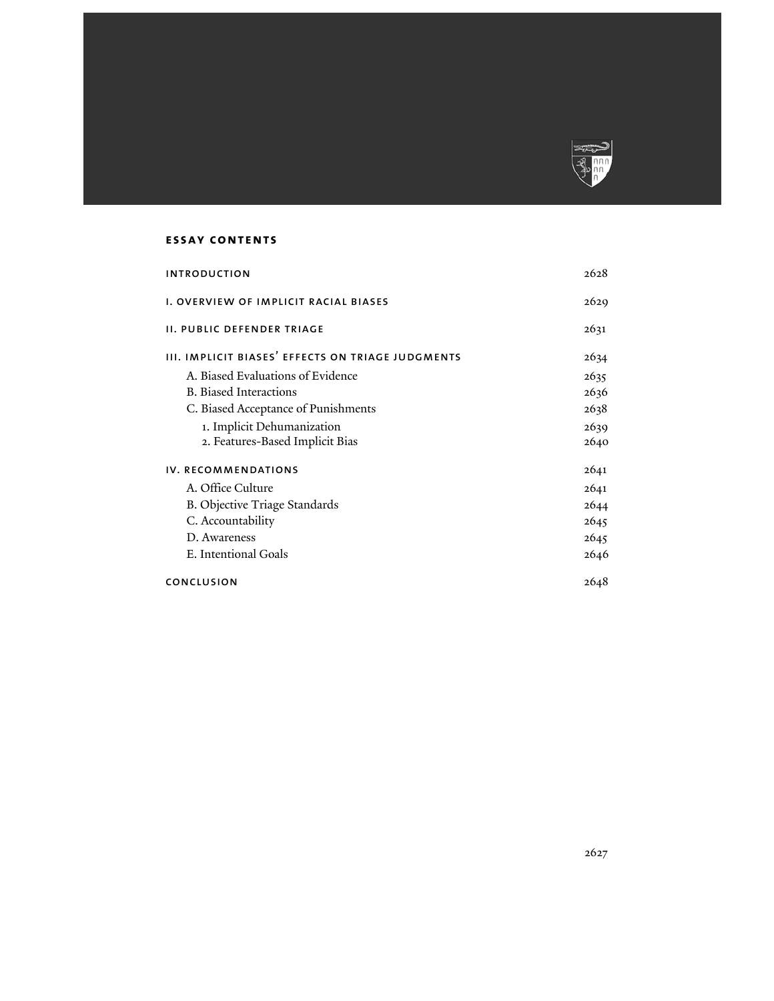

## **essay contents**

| <b>INTRODUCTION</b>                               | 2628 |
|---------------------------------------------------|------|
| I. OVERVIEW OF IMPLICIT RACIAL BIASES             | 2629 |
| II. PUBLIC DEFENDER TRIAGE                        | 2631 |
| III. IMPLICIT BIASES' EFFECTS ON TRIAGE JUDGMENTS | 2634 |
| A. Biased Evaluations of Evidence                 | 2635 |
| <b>B.</b> Biased Interactions                     | 2636 |
| C. Biased Acceptance of Punishments               | 2638 |
| 1. Implicit Dehumanization                        | 2639 |
| 2. Features-Based Implicit Bias                   | 2640 |
| IV. RECOMMENDATIONS                               | 2641 |
| A. Office Culture                                 | 2641 |
| B. Objective Triage Standards                     | 2644 |
| C. Accountability                                 | 2645 |
| D. Awareness                                      | 2645 |
| E. Intentional Goals                              | 2646 |
| CONCLUSION                                        | 2648 |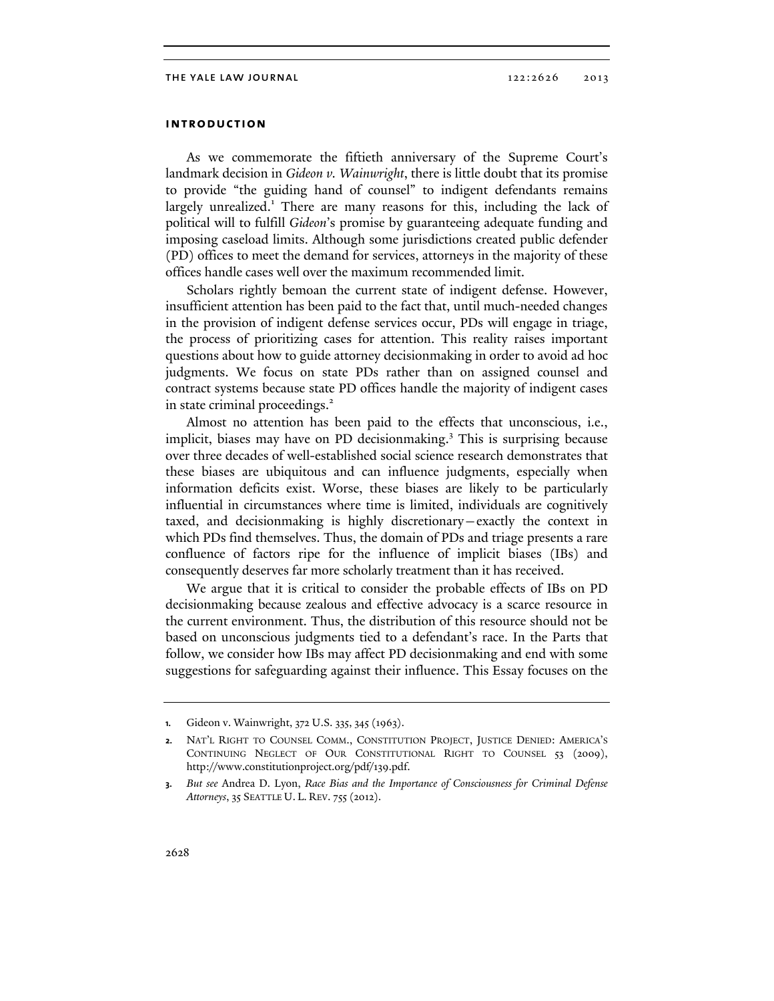## **introduction**

As we commemorate the fiftieth anniversary of the Supreme Court's landmark decision in *Gideon v. Wainwright*, there is little doubt that its promise to provide "the guiding hand of counsel" to indigent defendants remains largely unrealized.<sup>1</sup> There are many reasons for this, including the lack of political will to fulfill *Gideon*'s promise by guaranteeing adequate funding and imposing caseload limits. Although some jurisdictions created public defender (PD) offices to meet the demand for services, attorneys in the majority of these offices handle cases well over the maximum recommended limit.

Scholars rightly bemoan the current state of indigent defense. However, insufficient attention has been paid to the fact that, until much-needed changes in the provision of indigent defense services occur, PDs will engage in triage, the process of prioritizing cases for attention. This reality raises important questions about how to guide attorney decisionmaking in order to avoid ad hoc judgments. We focus on state PDs rather than on assigned counsel and contract systems because state PD offices handle the majority of indigent cases in state criminal proceedings.<sup>2</sup>

Almost no attention has been paid to the effects that unconscious, i.e., implicit, biases may have on PD decisionmaking.<sup>3</sup> This is surprising because over three decades of well-established social science research demonstrates that these biases are ubiquitous and can influence judgments, especially when information deficits exist. Worse, these biases are likely to be particularly influential in circumstances where time is limited, individuals are cognitively taxed, and decisionmaking is highly discretionary—exactly the context in which PDs find themselves. Thus, the domain of PDs and triage presents a rare confluence of factors ripe for the influence of implicit biases (IBs) and consequently deserves far more scholarly treatment than it has received.

We argue that it is critical to consider the probable effects of IBs on PD decisionmaking because zealous and effective advocacy is a scarce resource in the current environment. Thus, the distribution of this resource should not be based on unconscious judgments tied to a defendant's race. In the Parts that follow, we consider how IBs may affect PD decisionmaking and end with some suggestions for safeguarding against their influence. This Essay focuses on the

**<sup>1.</sup>** Gideon v. Wainwright, 372 U.S. 335, 345 (1963).

**<sup>2.</sup>** NAT'L RIGHT TO COUNSEL COMM., CONSTITUTION PROJECT, JUSTICE DENIED: AMERICA'S CONTINUING NEGLECT OF OUR CONSTITUTIONAL RIGHT TO COUNSEL 53 (2009), http://www.constitutionproject.org/pdf/139.pdf.

**<sup>3.</sup>** *But see* Andrea D. Lyon, *Race Bias and the Importance of Consciousness for Criminal Defense Attorneys*, 35 SEATTLE U. L. REV. 755 (2012).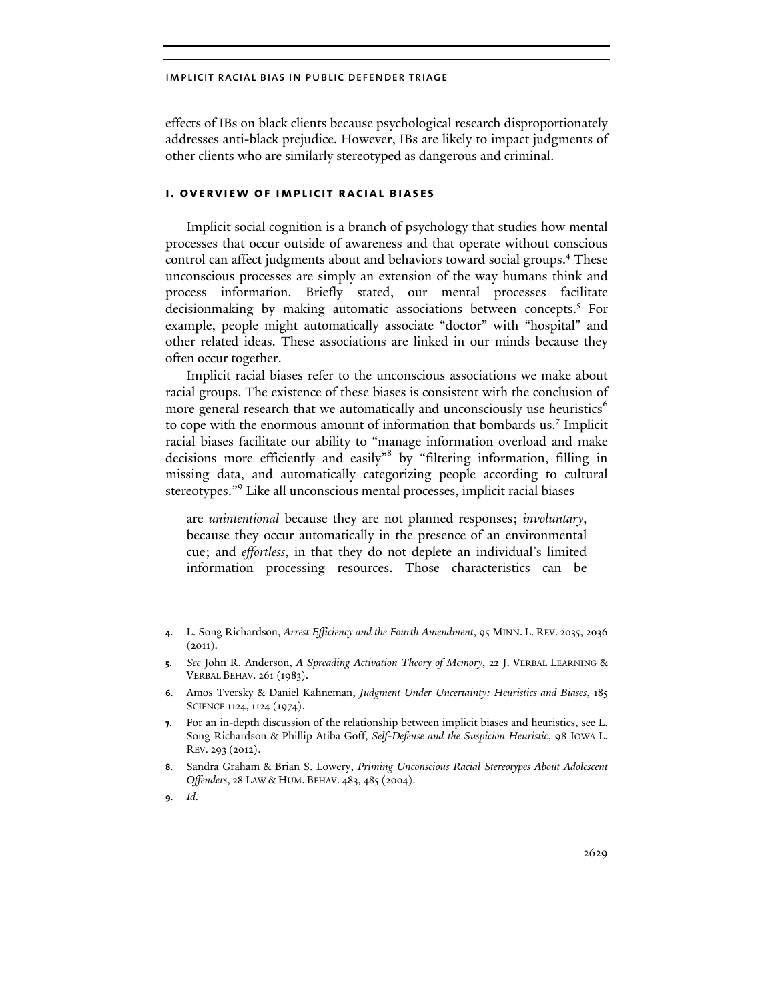effects of IBs on black clients because psychological research disproportionately addresses anti-black prejudice. However, IBs are likely to impact judgments of other clients who are similarly stereotyped as dangerous and criminal.

## **i. overview of implicit racial biases**

Implicit social cognition is a branch of psychology that studies how mental processes that occur outside of awareness and that operate without conscious control can affect judgments about and behaviors toward social groups.<sup>4</sup> These unconscious processes are simply an extension of the way humans think and process information. Briefly stated, our mental processes facilitate decisionmaking by making automatic associations between concepts.<sup>5</sup> For example, people might automatically associate "doctor" with "hospital" and other related ideas. These associations are linked in our minds because they often occur together.

Implicit racial biases refer to the unconscious associations we make about racial groups. The existence of these biases is consistent with the conclusion of more general research that we automatically and unconsciously use heuristics<sup>6</sup> to cope with the enormous amount of information that bombards us.<sup>7</sup> Implicit racial biases facilitate our ability to "manage information overload and make decisions more efficiently and easily"<sup>8</sup> by "filtering information, filling in missing data, and automatically categorizing people according to cultural stereotypes."<sup>9</sup> Like all unconscious mental processes, implicit racial biases

are *unintentional* because they are not planned responses; *involuntary*, because they occur automatically in the presence of an environmental cue; and *effortless*, in that they do not deplete an individual's limited information processing resources. Those characteristics can be

**6.** Amos Tversky & Daniel Kahneman, *Judgment Under Uncertainty: Heuristics and Biases*, 185 SCIENCE 1124, 1124 (1974).

**8.** Sandra Graham & Brian S. Lowery, *Priming Unconscious Racial Stereotypes About Adolescent Offenders*, 28 LAW & HUM. BEHAV. 483, 485 (2004).

**<sup>4.</sup>** L. Song Richardson, *Arrest Efficiency and the Fourth Amendment*, 95 MINN. L. REV. 2035, 2036  $(2011).$ 

**<sup>5.</sup>** *See* John R. Anderson, *A Spreading Activation Theory of Memory*, 22 J. VERBAL LEARNING & VERBAL BEHAV. 261 (1983).

**<sup>7.</sup>** For an in-depth discussion of the relationship between implicit biases and heuristics, see L. Song Richardson & Phillip Atiba Goff, *Self-Defense and the Suspicion Heuristic*, 98 IOWA L. REV. 293 (2012).

**<sup>9.</sup>** *Id.*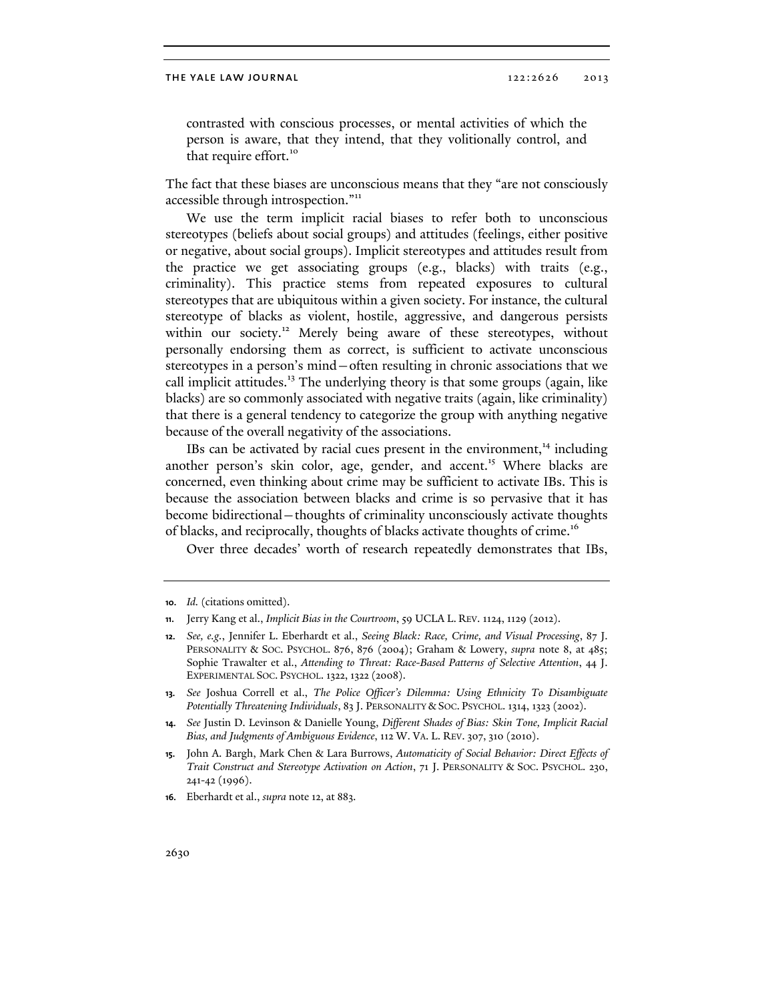contrasted with conscious processes, or mental activities of which the person is aware, that they intend, that they volitionally control, and that require effort.<sup>10</sup>

The fact that these biases are unconscious means that they "are not consciously accessible through introspection."<sup>11</sup>

We use the term implicit racial biases to refer both to unconscious stereotypes (beliefs about social groups) and attitudes (feelings, either positive or negative, about social groups). Implicit stereotypes and attitudes result from the practice we get associating groups (e.g., blacks) with traits (e.g., criminality). This practice stems from repeated exposures to cultural stereotypes that are ubiquitous within a given society. For instance, the cultural stereotype of blacks as violent, hostile, aggressive, and dangerous persists within our society.<sup>12</sup> Merely being aware of these stereotypes, without personally endorsing them as correct, is sufficient to activate unconscious stereotypes in a person's mind—often resulting in chronic associations that we call implicit attitudes.<sup>13</sup> The underlying theory is that some groups (again, like blacks) are so commonly associated with negative traits (again, like criminality) that there is a general tendency to categorize the group with anything negative because of the overall negativity of the associations.

IBs can be activated by racial cues present in the environment, $14$  including another person's skin color, age, gender, and accent.<sup>15</sup> Where blacks are concerned, even thinking about crime may be sufficient to activate IBs. This is because the association between blacks and crime is so pervasive that it has become bidirectional—thoughts of criminality unconsciously activate thoughts of blacks, and reciprocally, thoughts of blacks activate thoughts of crime.<sup>16</sup>

Over three decades' worth of research repeatedly demonstrates that IBs,

**<sup>10.</sup>** *Id.* (citations omitted).

**<sup>11.</sup>** Jerry Kang et al., *Implicit Bias in the Courtroom*, 59 UCLA L. REV. 1124, 1129 (2012).

**<sup>12.</sup>** *See, e.g.*, Jennifer L. Eberhardt et al., *Seeing Black: Race, Crime, and Visual Processing*, 87 J. PERSONALITY & SOC. PSYCHOL. 876, 876 (2004); Graham & Lowery, *supra* note 8, at 485; Sophie Trawalter et al., *Attending to Threat: Race-Based Patterns of Selective Attention*, 44 J. EXPERIMENTAL SOC. PSYCHOL. 1322, 1322 (2008).

**<sup>13.</sup>** *See* Joshua Correll et al., *The Police Officer's Dilemma: Using Ethnicity To Disambiguate Potentially Threatening Individuals*, 83 J. PERSONALITY & SOC. PSYCHOL. 1314, 1323 (2002).

**<sup>14.</sup>** *See* Justin D. Levinson & Danielle Young, *Different Shades of Bias: Skin Tone, Implicit Racial Bias, and Judgments of Ambiguous Evidence*, 112 W. VA. L. REV. 307, 310 (2010).

**<sup>15.</sup>** John A. Bargh, Mark Chen & Lara Burrows, *Automaticity of Social Behavior: Direct Effects of Trait Construct and Stereotype Activation on Action*, 71 J. PERSONALITY & SOC. PSYCHOL. 230, 241-42 (1996).

**<sup>16.</sup>** Eberhardt et al., *supra* note 12, at 883.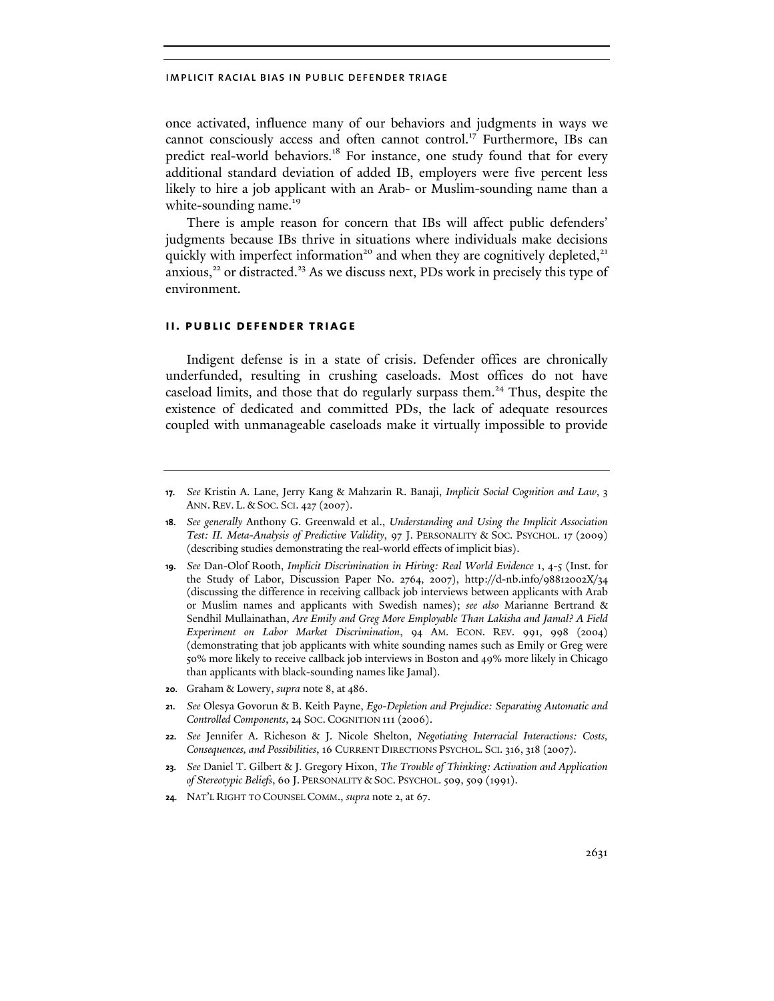once activated, influence many of our behaviors and judgments in ways we cannot consciously access and often cannot control.<sup>17</sup> Furthermore, IBs can predict real-world behaviors.<sup>18</sup> For instance, one study found that for every additional standard deviation of added IB, employers were five percent less likely to hire a job applicant with an Arab- or Muslim-sounding name than a white-sounding name.<sup>19</sup>

There is ample reason for concern that IBs will affect public defenders' judgments because IBs thrive in situations where individuals make decisions quickly with imperfect information<sup>20</sup> and when they are cognitively depleted,<sup>21</sup> anxious,<sup>22</sup> or distracted.<sup>23</sup> As we discuss next, PDs work in precisely this type of environment.

## **ii. public defender triage**

Indigent defense is in a state of crisis. Defender offices are chronically underfunded, resulting in crushing caseloads. Most offices do not have caseload limits, and those that do regularly surpass them.<sup>24</sup> Thus, despite the existence of dedicated and committed PDs, the lack of adequate resources coupled with unmanageable caseloads make it virtually impossible to provide

- **20.** Graham & Lowery, *supra* note 8, at 486.
- **21.** *See* Olesya Govorun & B. Keith Payne, *Ego-Depletion and Prejudice: Separating Automatic and Controlled Components*, 24 SOC. COGNITION 111 (2006).
- **22.** *See* Jennifer A. Richeson & J. Nicole Shelton, *Negotiating Interracial Interactions: Costs, Consequences, and Possibilities*, 16 CURRENT DIRECTIONS PSYCHOL. SCI. 316, 318 (2007).
- **23.** *See* Daniel T. Gilbert & J. Gregory Hixon, *The Trouble of Thinking: Activation and Application of Stereotypic Beliefs*, 60 J. PERSONALITY & SOC. PSYCHOL. 509, 509 (1991).
- **24.** NAT'L RIGHT TO COUNSEL COMM., *supra* note 2, at 67.

**<sup>17.</sup>** *See* Kristin A. Lane, Jerry Kang & Mahzarin R. Banaji, *Implicit Social Cognition and Law*, 3 ANN. REV. L. & SOC. SCI. 427 (2007).

**<sup>18.</sup>** *See generally* Anthony G. Greenwald et al., *Understanding and Using the Implicit Association Test: II. Meta-Analysis of Predictive Validity*, 97 J. PERSONALITY & SOC. PSYCHOL. 17 (2009) (describing studies demonstrating the real-world effects of implicit bias).

**<sup>19.</sup>** *See* Dan-Olof Rooth, *Implicit Discrimination in Hiring: Real World Evidence* 1, 4-5 (Inst. for the Study of Labor, Discussion Paper No. 2764, 2007), http://d-nb.info/98812002X/34 (discussing the difference in receiving callback job interviews between applicants with Arab or Muslim names and applicants with Swedish names); *see also* Marianne Bertrand & Sendhil Mullainathan, *Are Emily and Greg More Employable Than Lakisha and Jamal? A Field Experiment on Labor Market Discrimination*, 94 AM. ECON. REV. 991, 998 (2004) (demonstrating that job applicants with white sounding names such as Emily or Greg were 50% more likely to receive callback job interviews in Boston and 49% more likely in Chicago than applicants with black-sounding names like Jamal).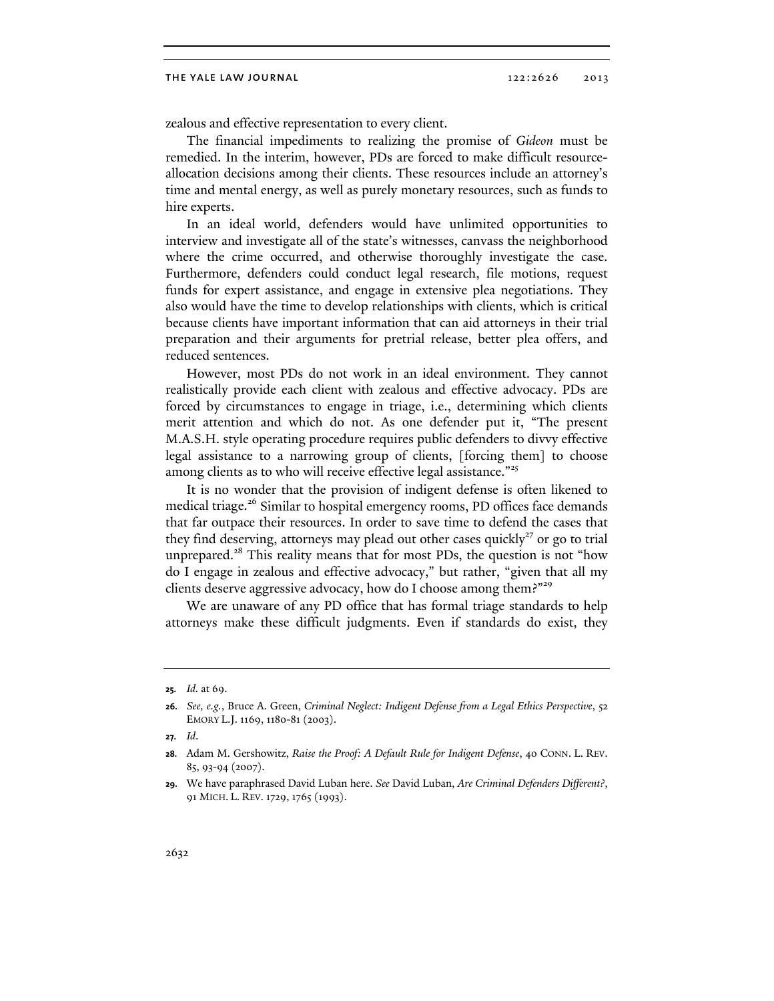#### THE YALE LAW JOURNAL 2013 2013

zealous and effective representation to every client.

The financial impediments to realizing the promise of *Gideon* must be remedied. In the interim, however, PDs are forced to make difficult resourceallocation decisions among their clients. These resources include an attorney's time and mental energy, as well as purely monetary resources, such as funds to hire experts.

In an ideal world, defenders would have unlimited opportunities to interview and investigate all of the state's witnesses, canvass the neighborhood where the crime occurred, and otherwise thoroughly investigate the case. Furthermore, defenders could conduct legal research, file motions, request funds for expert assistance, and engage in extensive plea negotiations. They also would have the time to develop relationships with clients, which is critical because clients have important information that can aid attorneys in their trial preparation and their arguments for pretrial release, better plea offers, and reduced sentences.

However, most PDs do not work in an ideal environment. They cannot realistically provide each client with zealous and effective advocacy. PDs are forced by circumstances to engage in triage, i.e., determining which clients merit attention and which do not. As one defender put it, "The present M.A.S.H. style operating procedure requires public defenders to divvy effective legal assistance to a narrowing group of clients, [forcing them] to choose among clients as to who will receive effective legal assistance."<sup>25</sup>

It is no wonder that the provision of indigent defense is often likened to medical triage.<sup>26</sup> Similar to hospital emergency rooms, PD offices face demands that far outpace their resources. In order to save time to defend the cases that they find deserving, attorneys may plead out other cases quickly<sup>27</sup> or go to trial unprepared.<sup>28</sup> This reality means that for most PDs, the question is not "how do I engage in zealous and effective advocacy," but rather, "given that all my clients deserve aggressive advocacy, how do I choose among them?"<sup>29</sup>

We are unaware of any PD office that has formal triage standards to help attorneys make these difficult judgments. Even if standards do exist, they

**<sup>25.</sup>** *Id.* at 69.

**<sup>26.</sup>** *See, e.g.*, Bruce A. Green, *Criminal Neglect: Indigent Defense from a Legal Ethics Perspective*, 52 EMORY L.J. 1169, 1180-81 (2003).

**<sup>27.</sup>** *Id*.

**<sup>28.</sup>** Adam M. Gershowitz, *Raise the Proof: A Default Rule for Indigent Defense*, 40 CONN. L. REV. 85, 93-94 (2007).

**<sup>29.</sup>** We have paraphrased David Luban here. *See* David Luban, *Are Criminal Defenders Different?*, 91 MICH. L. REV. 1729, 1765 (1993).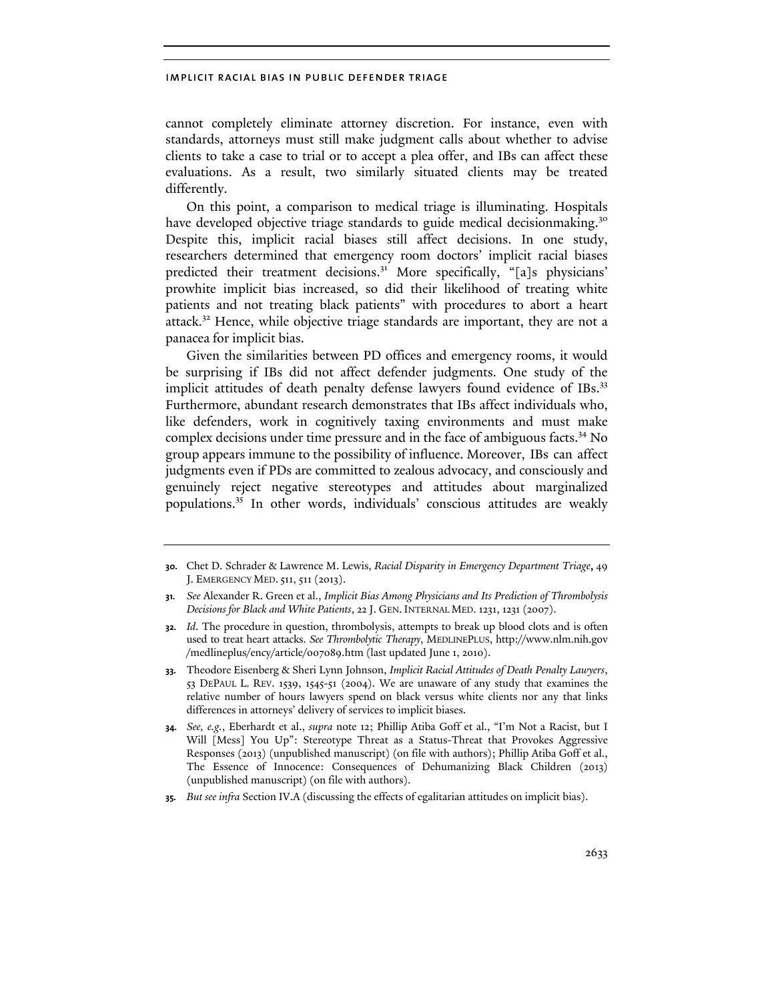cannot completely eliminate attorney discretion. For instance, even with standards, attorneys must still make judgment calls about whether to advise clients to take a case to trial or to accept a plea offer, and IBs can affect these evaluations. As a result, two similarly situated clients may be treated differently.

On this point, a comparison to medical triage is illuminating. Hospitals have developed objective triage standards to guide medical decisionmaking.<sup>30</sup> Despite this, implicit racial biases still affect decisions. In one study, researchers determined that emergency room doctors' implicit racial biases predicted their treatment decisions.<sup>31</sup> More specifically, "[a]s physicians' prowhite implicit bias increased, so did their likelihood of treating white patients and not treating black patients" with procedures to abort a heart attack.<sup>32</sup> Hence, while objective triage standards are important, they are not a panacea for implicit bias.

Given the similarities between PD offices and emergency rooms, it would be surprising if IBs did not affect defender judgments. One study of the implicit attitudes of death penalty defense lawyers found evidence of IBs.<sup>33</sup> Furthermore, abundant research demonstrates that IBs affect individuals who, like defenders, work in cognitively taxing environments and must make complex decisions under time pressure and in the face of ambiguous facts.<sup>34</sup> No group appears immune to the possibility of influence. Moreover, IBs can affect judgments even if PDs are committed to zealous advocacy, and consciously and genuinely reject negative stereotypes and attitudes about marginalized populations.35 In other words, individuals' conscious attitudes are weakly

**35.** *But see infra* Section IV.A (discussing the effects of egalitarian attitudes on implicit bias).

**<sup>30.</sup>** Chet D. Schrader & Lawrence M. Lewis, *Racial Disparity in Emergency Department Triage*, 49 J. EMERGENCY MED. 511, 511 (2013).

**<sup>31.</sup>** *See* Alexander R. Green et al., *Implicit Bias Among Physicians and Its Prediction of Thrombolysis Decisions for Black and White Patients*, 22 J. GEN. INTERNAL MED. 1231, 1231 (2007).

**<sup>32.</sup>** *Id*. The procedure in question, thrombolysis, attempts to break up blood clots and is often used to treat heart attacks. *See Thrombolytic Therapy*, MEDLINEPLUS, http://www.nlm.nih.gov /medlineplus/ency/article/007089.htm (last updated June 1, 2010).

**<sup>33.</sup>** Theodore Eisenberg & Sheri Lynn Johnson, *Implicit Racial Attitudes of Death Penalty Lawyers*, 53 DEPAUL L. REV. 1539, 1545-51 (2004). We are unaware of any study that examines the relative number of hours lawyers spend on black versus white clients nor any that links differences in attorneys' delivery of services to implicit biases.

**<sup>34.</sup>** *See, e.g.*, Eberhardt et al., *supra* note 12; Phillip Atiba Goff et al., "I'm Not a Racist, but I Will [Mess] You Up": Stereotype Threat as a Status-Threat that Provokes Aggressive Responses (2013) (unpublished manuscript) (on file with authors); Phillip Atiba Goff et al., The Essence of Innocence: Consequences of Dehumanizing Black Children (2013) (unpublished manuscript) (on file with authors).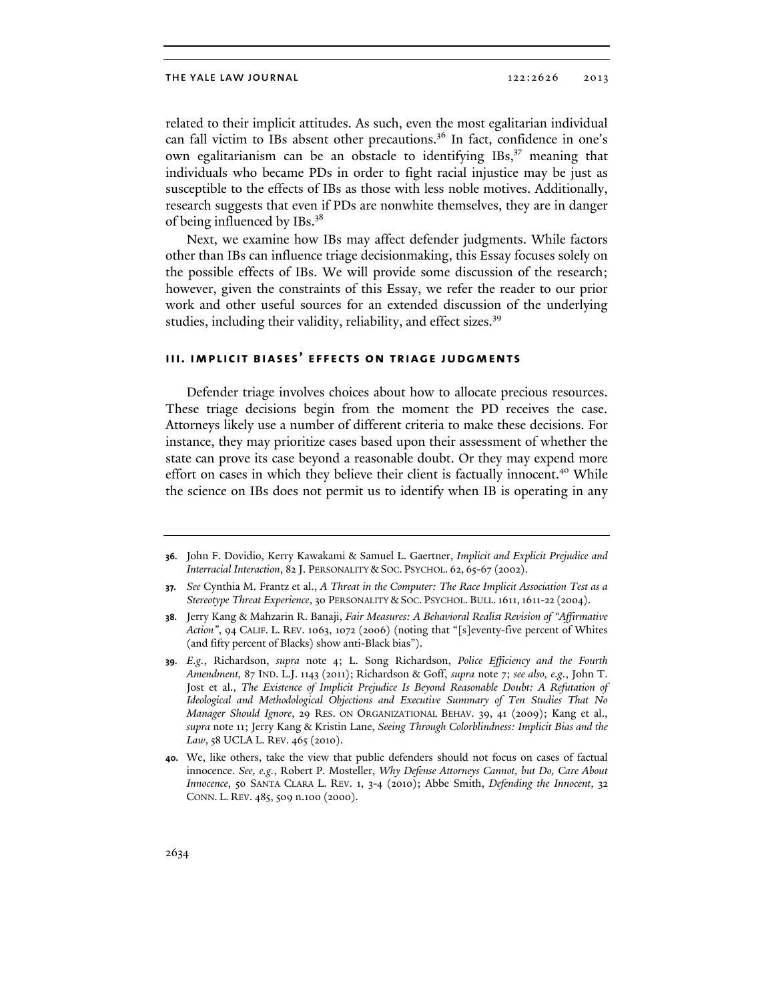related to their implicit attitudes. As such, even the most egalitarian individual can fall victim to IBs absent other precautions.<sup>36</sup> In fact, confidence in one's own egalitarianism can be an obstacle to identifying IBs,<sup>37</sup> meaning that individuals who became PDs in order to fight racial injustice may be just as susceptible to the effects of IBs as those with less noble motives. Additionally, research suggests that even if PDs are nonwhite themselves, they are in danger of being influenced by IBs.38

Next, we examine how IBs may affect defender judgments. While factors other than IBs can influence triage decisionmaking, this Essay focuses solely on the possible effects of IBs. We will provide some discussion of the research; however, given the constraints of this Essay, we refer the reader to our prior work and other useful sources for an extended discussion of the underlying studies, including their validity, reliability, and effect sizes.<sup>39</sup>

## **iii. implicit biases' effects on triage judgments**

Defender triage involves choices about how to allocate precious resources. These triage decisions begin from the moment the PD receives the case. Attorneys likely use a number of different criteria to make these decisions. For instance, they may prioritize cases based upon their assessment of whether the state can prove its case beyond a reasonable doubt. Or they may expend more effort on cases in which they believe their client is factually innocent.<sup>40</sup> While the science on IBs does not permit us to identify when IB is operating in any

- **38.** Jerry Kang & Mahzarin R. Banaji, *Fair Measures: A Behavioral Realist Revision of "Affirmative Action"*, 94 CALIF. L. REV. 1063, 1072 (2006) (noting that "[s]eventy-five percent of Whites (and fifty percent of Blacks) show anti-Black bias").
- **39.** *E.g.*, Richardson, *supra* note 4; L. Song Richardson, *Police Efficiency and the Fourth Amendment,* 87 IND. L.J. 1143 (2011); Richardson & Goff, *supra* note 7; *see also, e.g.*, John T. Jost et al., *The Existence of Implicit Prejudice Is Beyond Reasonable Doubt: A Refutation of Ideological and Methodological Objections and Executive Summary of Ten Studies That No Manager Should Ignore*, 29 RES. ON ORGANIZATIONAL BEHAV. 39, 41 (2009); Kang et al., *supra* note 11; Jerry Kang & Kristin Lane, *Seeing Through Colorblindness: Implicit Bias and the Law*, 58 UCLA L. REV. 465 (2010).
- **40.** We, like others, take the view that public defenders should not focus on cases of factual innocence. *See, e.g.*, Robert P. Mosteller, *Why Defense Attorneys Cannot, but Do, Care About Innocence*, 50 SANTA CLARA L. REV. 1, 3-4 (2010); Abbe Smith, *Defending the Innocent*, 32 CONN. L. REV. 485, 509 n.100 (2000).

**<sup>36.</sup>** John F. Dovidio, Kerry Kawakami & Samuel L. Gaertner, *Implicit and Explicit Prejudice and Interracial Interaction*, 82 J. PERSONALITY & SOC. PSYCHOL. 62, 65-67 (2002).

**<sup>37.</sup>** *See* Cynthia M. Frantz et al., *A Threat in the Computer: The Race Implicit Association Test as a Stereotype Threat Experience*, 30 PERSONALITY & SOC. PSYCHOL. BULL.1611,1611-22 (2004).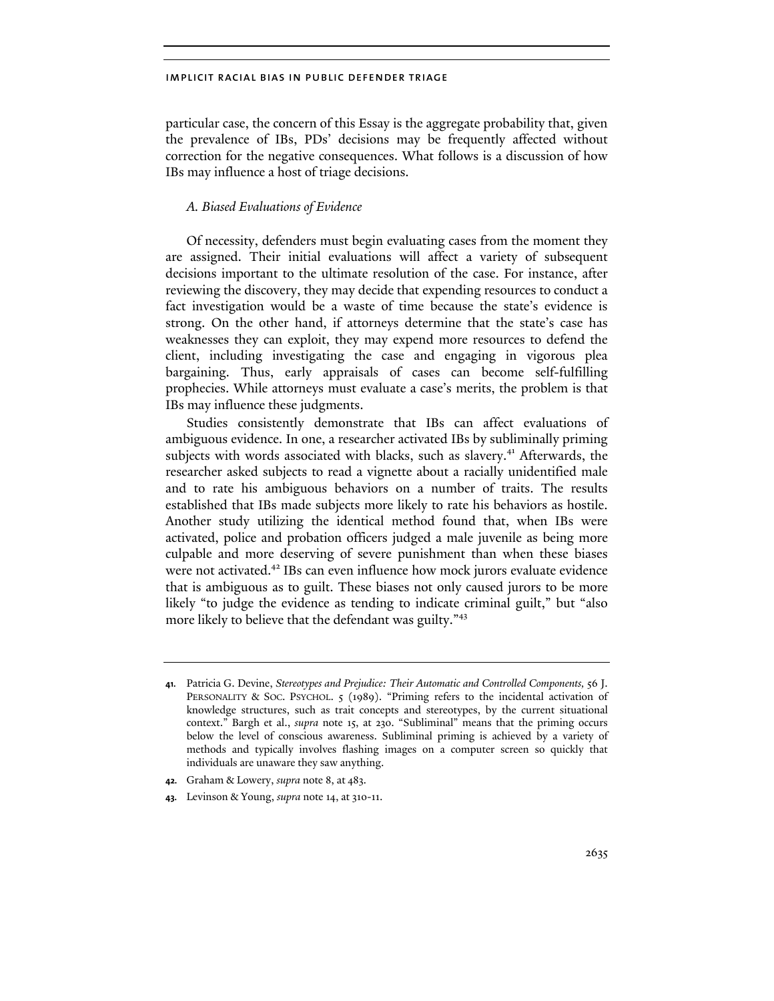particular case, the concern of this Essay is the aggregate probability that, given the prevalence of IBs, PDs' decisions may be frequently affected without correction for the negative consequences. What follows is a discussion of how IBs may influence a host of triage decisions.

## *A. Biased Evaluations of Evidence*

Of necessity, defenders must begin evaluating cases from the moment they are assigned. Their initial evaluations will affect a variety of subsequent decisions important to the ultimate resolution of the case. For instance, after reviewing the discovery, they may decide that expending resources to conduct a fact investigation would be a waste of time because the state's evidence is strong. On the other hand, if attorneys determine that the state's case has weaknesses they can exploit, they may expend more resources to defend the client, including investigating the case and engaging in vigorous plea bargaining. Thus, early appraisals of cases can become self-fulfilling prophecies. While attorneys must evaluate a case's merits, the problem is that IBs may influence these judgments.

Studies consistently demonstrate that IBs can affect evaluations of ambiguous evidence. In one, a researcher activated IBs by subliminally priming subjects with words associated with blacks, such as slavery.<sup>41</sup> Afterwards, the researcher asked subjects to read a vignette about a racially unidentified male and to rate his ambiguous behaviors on a number of traits. The results established that IBs made subjects more likely to rate his behaviors as hostile. Another study utilizing the identical method found that, when IBs were activated, police and probation officers judged a male juvenile as being more culpable and more deserving of severe punishment than when these biases were not activated.<sup>42</sup> IBs can even influence how mock jurors evaluate evidence that is ambiguous as to guilt. These biases not only caused jurors to be more likely "to judge the evidence as tending to indicate criminal guilt," but "also more likely to believe that the defendant was guilty."<sup>43</sup>

**<sup>41.</sup>** Patricia G. Devine, *Stereotypes and Prejudice: Their Automatic and Controlled Components,* 56 J. PERSONALITY & SOC. PSYCHOL. 5 (1989). "Priming refers to the incidental activation of knowledge structures, such as trait concepts and stereotypes, by the current situational context." Bargh et al., *supra* note 15, at 230. "Subliminal" means that the priming occurs below the level of conscious awareness. Subliminal priming is achieved by a variety of methods and typically involves flashing images on a computer screen so quickly that individuals are unaware they saw anything.

**<sup>42.</sup>** Graham & Lowery, *supra* note 8, at 483.

**<sup>43.</sup>** Levinson & Young, *supra* note 14, at 310-11.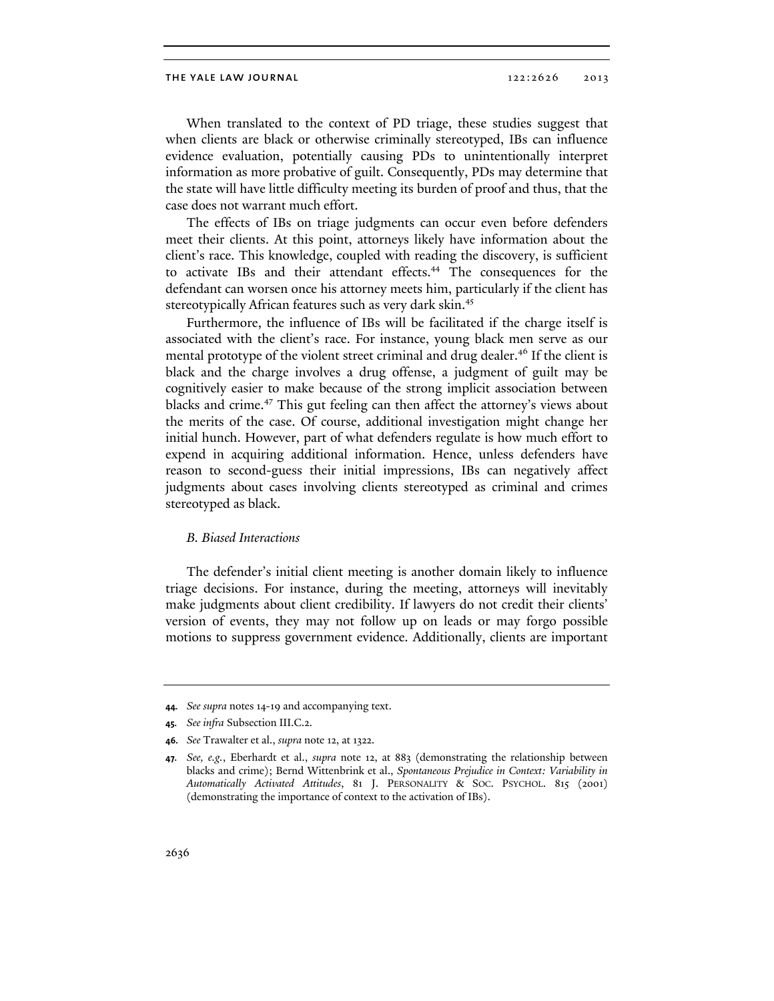When translated to the context of PD triage, these studies suggest that when clients are black or otherwise criminally stereotyped, IBs can influence evidence evaluation, potentially causing PDs to unintentionally interpret information as more probative of guilt. Consequently, PDs may determine that the state will have little difficulty meeting its burden of proof and thus, that the case does not warrant much effort.

The effects of IBs on triage judgments can occur even before defenders meet their clients. At this point, attorneys likely have information about the client's race. This knowledge, coupled with reading the discovery, is sufficient to activate IBs and their attendant effects.<sup>44</sup> The consequences for the defendant can worsen once his attorney meets him, particularly if the client has stereotypically African features such as very dark skin.<sup>45</sup>

Furthermore, the influence of IBs will be facilitated if the charge itself is associated with the client's race. For instance, young black men serve as our mental prototype of the violent street criminal and drug dealer.<sup>46</sup> If the client is black and the charge involves a drug offense, a judgment of guilt may be cognitively easier to make because of the strong implicit association between blacks and crime.<sup>47</sup> This gut feeling can then affect the attorney's views about the merits of the case. Of course, additional investigation might change her initial hunch. However, part of what defenders regulate is how much effort to expend in acquiring additional information. Hence, unless defenders have reason to second-guess their initial impressions, IBs can negatively affect judgments about cases involving clients stereotyped as criminal and crimes stereotyped as black.

#### *B. Biased Interactions*

The defender's initial client meeting is another domain likely to influence triage decisions. For instance, during the meeting, attorneys will inevitably make judgments about client credibility. If lawyers do not credit their clients' version of events, they may not follow up on leads or may forgo possible motions to suppress government evidence. Additionally, clients are important

**<sup>44.</sup>** *See supra* notes 14-19 and accompanying text.

**<sup>45.</sup>** *See infra* Subsection III.C.2.

**<sup>46.</sup>** *See* Trawalter et al., *supra* note 12, at 1322.

**<sup>47.</sup>** *See, e.g.*, Eberhardt et al., *supra* note 12, at 883 (demonstrating the relationship between blacks and crime); Bernd Wittenbrink et al., *Spontaneous Prejudice in Context: Variability in Automatically Activated Attitudes*, 81 J. PERSONALITY & SOC. PSYCHOL. 815 (2001) (demonstrating the importance of context to the activation of IBs).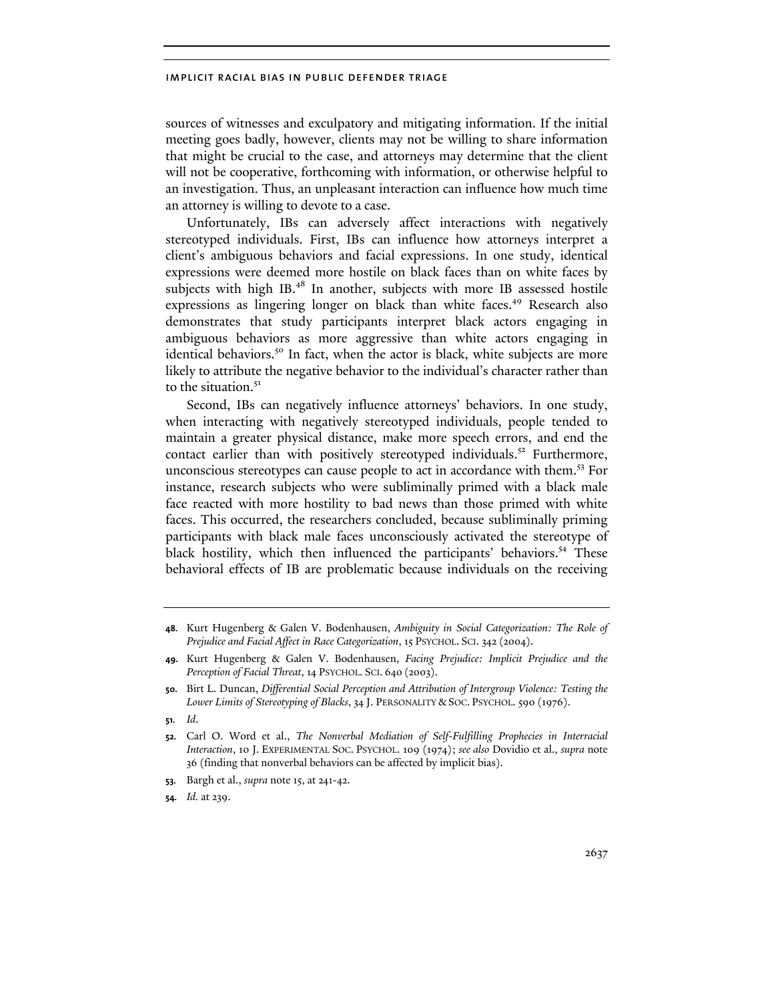sources of witnesses and exculpatory and mitigating information. If the initial meeting goes badly, however, clients may not be willing to share information that might be crucial to the case, and attorneys may determine that the client will not be cooperative, forthcoming with information, or otherwise helpful to an investigation. Thus, an unpleasant interaction can influence how much time an attorney is willing to devote to a case.

Unfortunately, IBs can adversely affect interactions with negatively stereotyped individuals. First, IBs can influence how attorneys interpret a client's ambiguous behaviors and facial expressions. In one study, identical expressions were deemed more hostile on black faces than on white faces by subjects with high IB.<sup>48</sup> In another, subjects with more IB assessed hostile expressions as lingering longer on black than white faces.<sup>49</sup> Research also demonstrates that study participants interpret black actors engaging in ambiguous behaviors as more aggressive than white actors engaging in identical behaviors.<sup>50</sup> In fact, when the actor is black, white subjects are more likely to attribute the negative behavior to the individual's character rather than to the situation.<sup>51</sup>

Second, IBs can negatively influence attorneys' behaviors. In one study, when interacting with negatively stereotyped individuals, people tended to maintain a greater physical distance, make more speech errors, and end the contact earlier than with positively stereotyped individuals.<sup>52</sup> Furthermore, unconscious stereotypes can cause people to act in accordance with them.<sup>53</sup> For instance, research subjects who were subliminally primed with a black male face reacted with more hostility to bad news than those primed with white faces. This occurred, the researchers concluded, because subliminally priming participants with black male faces unconsciously activated the stereotype of black hostility, which then influenced the participants' behaviors.<sup>54</sup> These behavioral effects of IB are problematic because individuals on the receiving

- **53.** Bargh et al., *supra* note 15, at 241-42.
- **54.** *Id.* at 239.

**<sup>48.</sup>** Kurt Hugenberg & Galen V. Bodenhausen, *Ambiguity in Social Categorization: The Role of Prejudice and Facial Affect in Race Categorization*, 15 PSYCHOL. SCI. 342 (2004).

**<sup>49.</sup>** Kurt Hugenberg & Galen V. Bodenhausen, *Facing Prejudice: Implicit Prejudice and the Perception of Facial Threat*, 14 PSYCHOL. SCI. 640 (2003).

**<sup>50.</sup>** Birt L. Duncan, *Differential Social Perception and Attribution of Intergroup Violence: Testing the Lower Limits of Stereotyping of Blacks*, 34 J. PERSONALITY & SOC. PSYCHOL. 590 (1976).

**<sup>51.</sup>** *Id*.

**<sup>52.</sup>** Carl O. Word et al., *The Nonverbal Mediation of Self-Fulfilling Prophecies in Interracial Interaction*, 10 J. EXPERIMENTAL SOC. PSYCHOL. 109 (1974); *see also* Dovidio et al., *supra* note 36 (finding that nonverbal behaviors can be affected by implicit bias).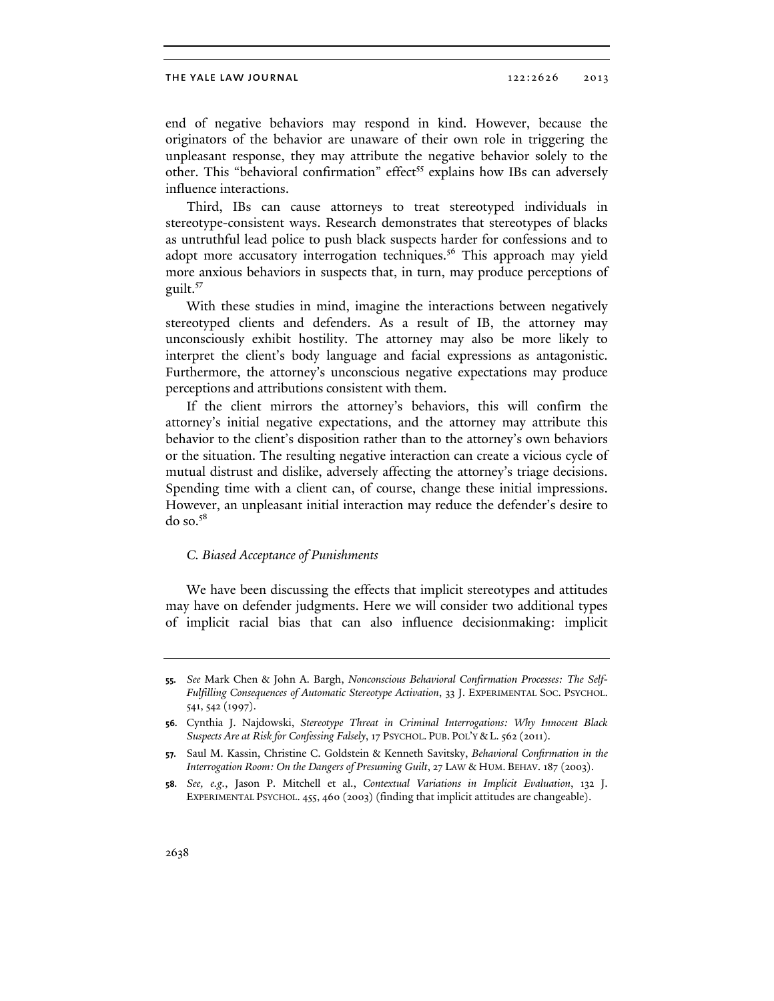#### THE YALE LAW JOURNAL 2013 2013

end of negative behaviors may respond in kind. However, because the originators of the behavior are unaware of their own role in triggering the unpleasant response, they may attribute the negative behavior solely to the other. This "behavioral confirmation" effect<sup>55</sup> explains how IBs can adversely influence interactions.

Third, IBs can cause attorneys to treat stereotyped individuals in stereotype-consistent ways. Research demonstrates that stereotypes of blacks as untruthful lead police to push black suspects harder for confessions and to adopt more accusatory interrogation techniques.<sup>56</sup> This approach may yield more anxious behaviors in suspects that, in turn, may produce perceptions of guilt.<sup>57</sup>

With these studies in mind, imagine the interactions between negatively stereotyped clients and defenders. As a result of IB, the attorney may unconsciously exhibit hostility. The attorney may also be more likely to interpret the client's body language and facial expressions as antagonistic. Furthermore, the attorney's unconscious negative expectations may produce perceptions and attributions consistent with them.

If the client mirrors the attorney's behaviors, this will confirm the attorney's initial negative expectations, and the attorney may attribute this behavior to the client's disposition rather than to the attorney's own behaviors or the situation. The resulting negative interaction can create a vicious cycle of mutual distrust and dislike, adversely affecting the attorney's triage decisions. Spending time with a client can, of course, change these initial impressions. However, an unpleasant initial interaction may reduce the defender's desire to  $do$  so. $58$ 

#### *C. Biased Acceptance of Punishments*

We have been discussing the effects that implicit stereotypes and attitudes may have on defender judgments. Here we will consider two additional types of implicit racial bias that can also influence decisionmaking: implicit

**<sup>55.</sup>** *See* Mark Chen & John A. Bargh, *Nonconscious Behavioral Confirmation Processes: The Self-Fulfilling Consequences of Automatic Stereotype Activation*, 33 J. EXPERIMENTAL SOC. PSYCHOL. 541, 542 (1997).

**<sup>56.</sup>** Cynthia J. Najdowski, *Stereotype Threat in Criminal Interrogations: Why Innocent Black Suspects Are at Risk for Confessing Falsely*, 17 PSYCHOL. PUB. POL'Y & L. 562 (2011).

**<sup>57.</sup>** Saul M. Kassin, Christine C. Goldstein & Kenneth Savitsky, *Behavioral Confirmation in the Interrogation Room: On the Dangers of Presuming Guilt*, 27 LAW & HUM. BEHAV. 187 (2003).

**<sup>58.</sup>** *See, e.g.*, Jason P. Mitchell et al., *Contextual Variations in Implicit Evaluation*, 132 J. EXPERIMENTAL PSYCHOL. 455, 460 (2003) (finding that implicit attitudes are changeable).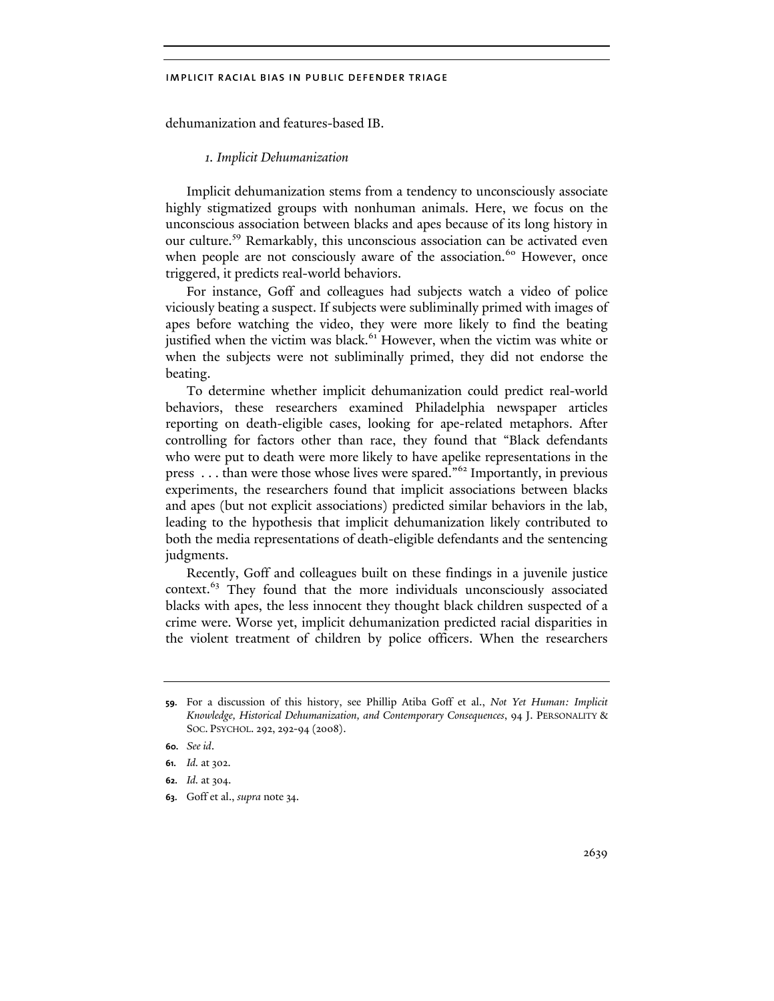dehumanization and features-based IB.

#### *1. Implicit Dehumanization*

Implicit dehumanization stems from a tendency to unconsciously associate highly stigmatized groups with nonhuman animals. Here, we focus on the unconscious association between blacks and apes because of its long history in our culture.59 Remarkably, this unconscious association can be activated even when people are not consciously aware of the association.<sup>60</sup> However, once triggered, it predicts real-world behaviors.

For instance, Goff and colleagues had subjects watch a video of police viciously beating a suspect. If subjects were subliminally primed with images of apes before watching the video, they were more likely to find the beating justified when the victim was black.<sup>61</sup> However, when the victim was white or when the subjects were not subliminally primed, they did not endorse the beating.

To determine whether implicit dehumanization could predict real-world behaviors, these researchers examined Philadelphia newspaper articles reporting on death-eligible cases, looking for ape-related metaphors. After controlling for factors other than race, they found that "Black defendants who were put to death were more likely to have apelike representations in the press . . . than were those whose lives were spared."<sup>62</sup> Importantly, in previous experiments, the researchers found that implicit associations between blacks and apes (but not explicit associations) predicted similar behaviors in the lab, leading to the hypothesis that implicit dehumanization likely contributed to both the media representations of death-eligible defendants and the sentencing judgments.

Recently, Goff and colleagues built on these findings in a juvenile justice context.<sup>63</sup> They found that the more individuals unconsciously associated blacks with apes, the less innocent they thought black children suspected of a crime were. Worse yet, implicit dehumanization predicted racial disparities in the violent treatment of children by police officers. When the researchers

**<sup>59.</sup>** For a discussion of this history, see Phillip Atiba Goff et al., *Not Yet Human: Implicit Knowledge, Historical Dehumanization, and Contemporary Consequences*, 94 J. PERSONALITY & SOC. PSYCHOL. 292, 292-94 (2008).

**<sup>60.</sup>** *See id*.

**<sup>61.</sup>** *Id.* at 302.

**<sup>62.</sup>** *Id.* at 304.

**<sup>63.</sup>** Goff et al., *supra* note 34.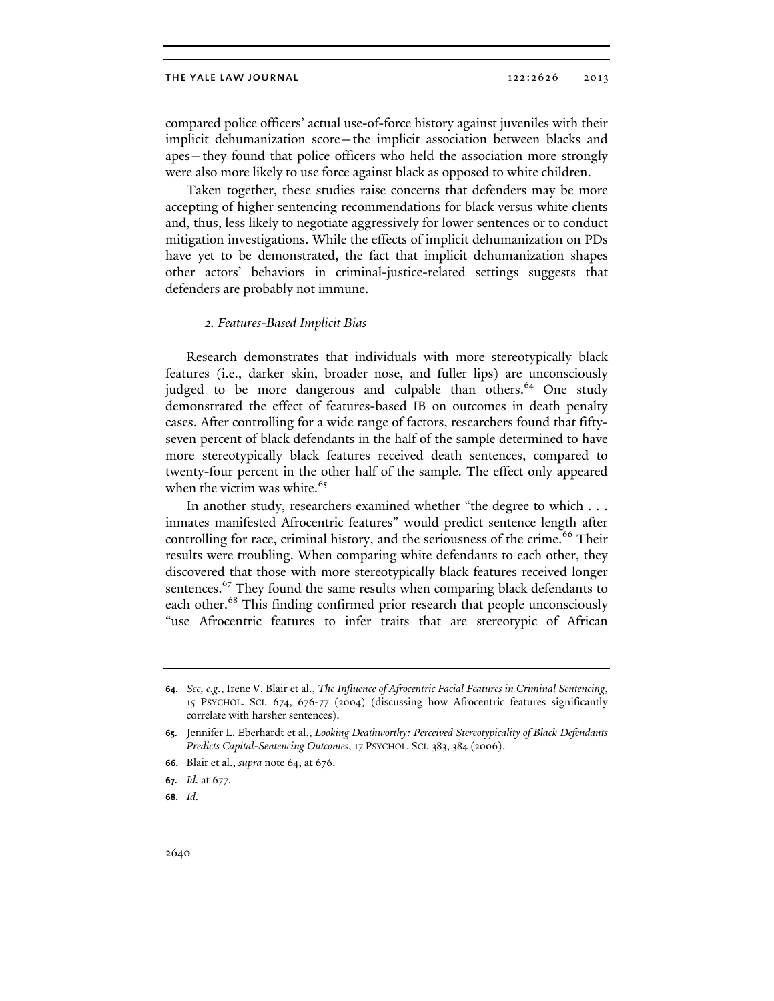compared police officers' actual use-of-force history against juveniles with their implicit dehumanization score—the implicit association between blacks and apes—they found that police officers who held the association more strongly were also more likely to use force against black as opposed to white children.

Taken together, these studies raise concerns that defenders may be more accepting of higher sentencing recommendations for black versus white clients and, thus, less likely to negotiate aggressively for lower sentences or to conduct mitigation investigations. While the effects of implicit dehumanization on PDs have yet to be demonstrated, the fact that implicit dehumanization shapes other actors' behaviors in criminal-justice-related settings suggests that defenders are probably not immune.

#### *2. Features-Based Implicit Bias*

Research demonstrates that individuals with more stereotypically black features (i.e., darker skin, broader nose, and fuller lips) are unconsciously judged to be more dangerous and culpable than others.<sup>64</sup> One study demonstrated the effect of features-based IB on outcomes in death penalty cases. After controlling for a wide range of factors, researchers found that fiftyseven percent of black defendants in the half of the sample determined to have more stereotypically black features received death sentences, compared to twenty-four percent in the other half of the sample. The effect only appeared when the victim was white.<sup>65</sup>

In another study, researchers examined whether "the degree to which . . . inmates manifested Afrocentric features" would predict sentence length after controlling for race, criminal history, and the seriousness of the crime.<sup>66</sup> Their results were troubling. When comparing white defendants to each other, they discovered that those with more stereotypically black features received longer sentences.<sup>67</sup> They found the same results when comparing black defendants to each other.<sup>68</sup> This finding confirmed prior research that people unconsciously "use Afrocentric features to infer traits that are stereotypic of African

**68.** *Id.*

**<sup>64.</sup>** *See, e.g.*, Irene V. Blair et al., *The Influence of Afrocentric Facial Features in Criminal Sentencing*, 15 PSYCHOL. SCI. 674, 676-77 (2004) (discussing how Afrocentric features significantly correlate with harsher sentences).

**<sup>65.</sup>** Jennifer L. Eberhardt et al., *Looking Deathworthy: Perceived Stereotypicality of Black Defendants Predicts Capital-Sentencing Outcomes*, 17 PSYCHOL. SCI. 383, 384 (2006).

**<sup>66.</sup>** Blair et al., *supra* note 64, at 676.

**<sup>67.</sup>** *Id.* at 677.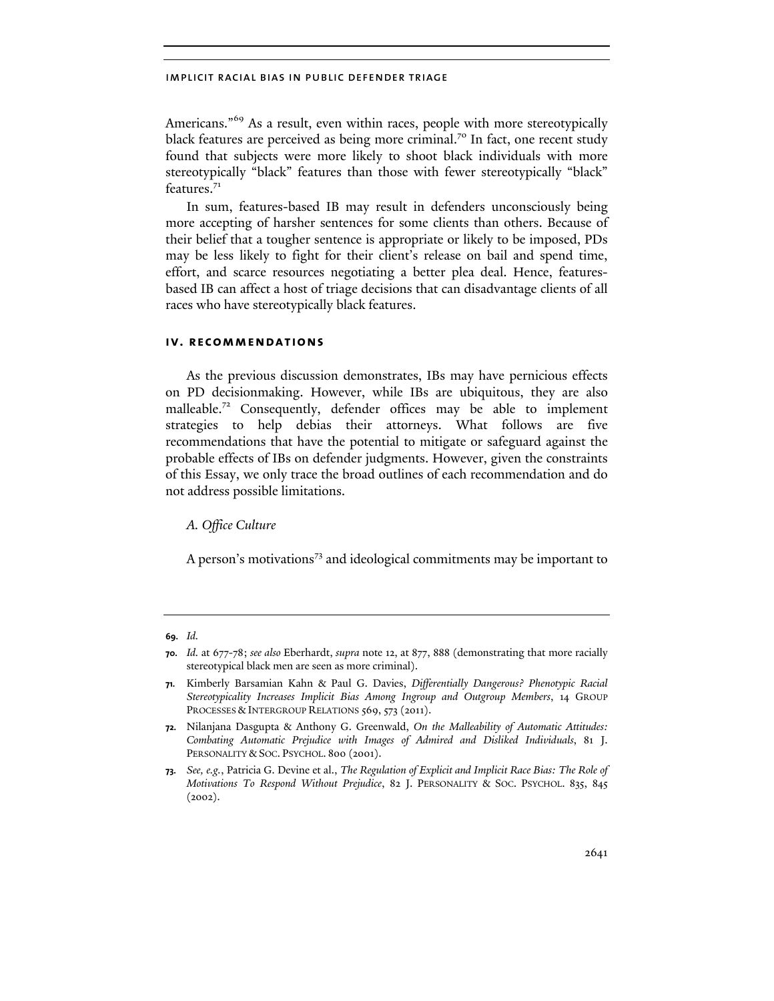Americans."<sup>69</sup> As a result, even within races, people with more stereotypically black features are perceived as being more criminal.<sup>70</sup> In fact, one recent study found that subjects were more likely to shoot black individuals with more stereotypically "black" features than those with fewer stereotypically "black" features.<sup>71</sup>

In sum, features-based IB may result in defenders unconsciously being more accepting of harsher sentences for some clients than others. Because of their belief that a tougher sentence is appropriate or likely to be imposed, PDs may be less likely to fight for their client's release on bail and spend time, effort, and scarce resources negotiating a better plea deal. Hence, featuresbased IB can affect a host of triage decisions that can disadvantage clients of all races who have stereotypically black features.

## **iv. recommendations**

As the previous discussion demonstrates, IBs may have pernicious effects on PD decisionmaking. However, while IBs are ubiquitous, they are also malleable.<sup>72</sup> Consequently, defender offices may be able to implement strategies to help debias their attorneys. What follows are five recommendations that have the potential to mitigate or safeguard against the probable effects of IBs on defender judgments. However, given the constraints of this Essay, we only trace the broad outlines of each recommendation and do not address possible limitations.

*A. Office Culture* 

A person's motivations<sup>73</sup> and ideological commitments may be important to

**<sup>69.</sup>** *Id.*

**<sup>70.</sup>** *Id.* at 677-78; *see also* Eberhardt, *supra* note 12, at 877, 888 (demonstrating that more racially stereotypical black men are seen as more criminal).

**<sup>71.</sup>** Kimberly Barsamian Kahn & Paul G. Davies, *Differentially Dangerous? Phenotypic Racial Stereotypicality Increases Implicit Bias Among Ingroup and Outgroup Members*, 14 GROUP PROCESSES & INTERGROUP RELATIONS 569, 573 (2011).

**<sup>72.</sup>** Nilanjana Dasgupta & Anthony G. Greenwald, *On the Malleability of Automatic Attitudes: Combating Automatic Prejudice with Images of Admired and Disliked Individuals*, 81 J. PERSONALITY & SOC. PSYCHOL. 800 (2001).

**<sup>73.</sup>** *See, e.g.*, Patricia G. Devine et al., *The Regulation of Explicit and Implicit Race Bias: The Role of Motivations To Respond Without Prejudice*, 82 J. PERSONALITY & SOC. PSYCHOL. 835, 845  $(2002).$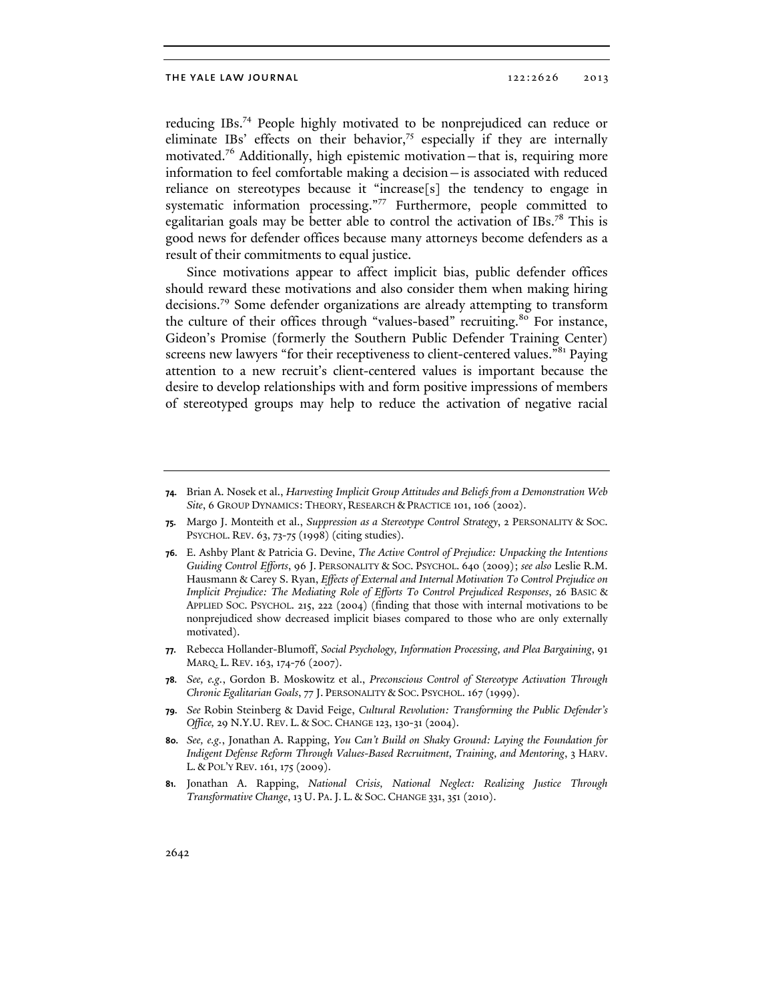reducing IBs.74 People highly motivated to be nonprejudiced can reduce or eliminate IBs' effects on their behavior, $75$  especially if they are internally motivated.76 Additionally, high epistemic motivation—that is, requiring more information to feel comfortable making a decision—is associated with reduced reliance on stereotypes because it "increase[s] the tendency to engage in systematic information processing."77 Furthermore, people committed to egalitarian goals may be better able to control the activation of IBs.<sup>78</sup> This is good news for defender offices because many attorneys become defenders as a result of their commitments to equal justice.

Since motivations appear to affect implicit bias, public defender offices should reward these motivations and also consider them when making hiring decisions.79 Some defender organizations are already attempting to transform the culture of their offices through "values-based" recruiting.<sup>80</sup> For instance, Gideon's Promise (formerly the Southern Public Defender Training Center) screens new lawyers "for their receptiveness to client-centered values."<sup>81</sup> Paying attention to a new recruit's client-centered values is important because the desire to develop relationships with and form positive impressions of members of stereotyped groups may help to reduce the activation of negative racial

- **77.** Rebecca Hollander-Blumoff, *Social Psychology, Information Processing, and Plea Bargaining*, 91 MARQ. L. REV. 163, 174-76 (2007).
- **78.** *See, e.g.*, Gordon B. Moskowitz et al., *Preconscious Control of Stereotype Activation Through Chronic Egalitarian Goals*, 77 J. PERSONALITY & SOC. PSYCHOL. 167 (1999).
- **79.** *See* Robin Steinberg & David Feige, *Cultural Revolution: Transforming the Public Defender's Office,* 29 N.Y.U. REV. L. & SOC. CHANGE 123, 130-31 (2004).
- **80.** *See, e.g.*, Jonathan A. Rapping, *You Can't Build on Shaky Ground: Laying the Foundation for Indigent Defense Reform Through Values-Based Recruitment, Training, and Mentoring*, 3 HARV. L. & POL'Y REV. 161, 175 (2009).
- **81.** Jonathan A. Rapping, *National Crisis, National Neglect: Realizing Justice Through Transformative Change*, 13 U. PA.J. L. & SOC. CHANGE 331, 351 (2010).

**<sup>74.</sup>** Brian A. Nosek et al., *Harvesting Implicit Group Attitudes and Beliefs from a Demonstration Web Site*, 6 GROUP DYNAMICS: THEORY, RESEARCH & PRACTICE 101, 106 (2002).

**<sup>75.</sup>** Margo J. Monteith et al., *Suppression as a Stereotype Control Strategy*, 2 PERSONALITY & SOC. PSYCHOL. REV. 63, 73-75 (1998) (citing studies).

**<sup>76.</sup>** E. Ashby Plant & Patricia G. Devine, *The Active Control of Prejudice: Unpacking the Intentions Guiding Control Efforts*, 96 J. PERSONALITY & SOC. PSYCHOL. 640 (2009); *see also* Leslie R.M. Hausmann & Carey S. Ryan, *Effects of External and Internal Motivation To Control Prejudice on Implicit Prejudice: The Mediating Role of Efforts To Control Prejudiced Responses*, 26 BASIC & APPLIED SOC. PSYCHOL. 215, 222 (2004) (finding that those with internal motivations to be nonprejudiced show decreased implicit biases compared to those who are only externally motivated).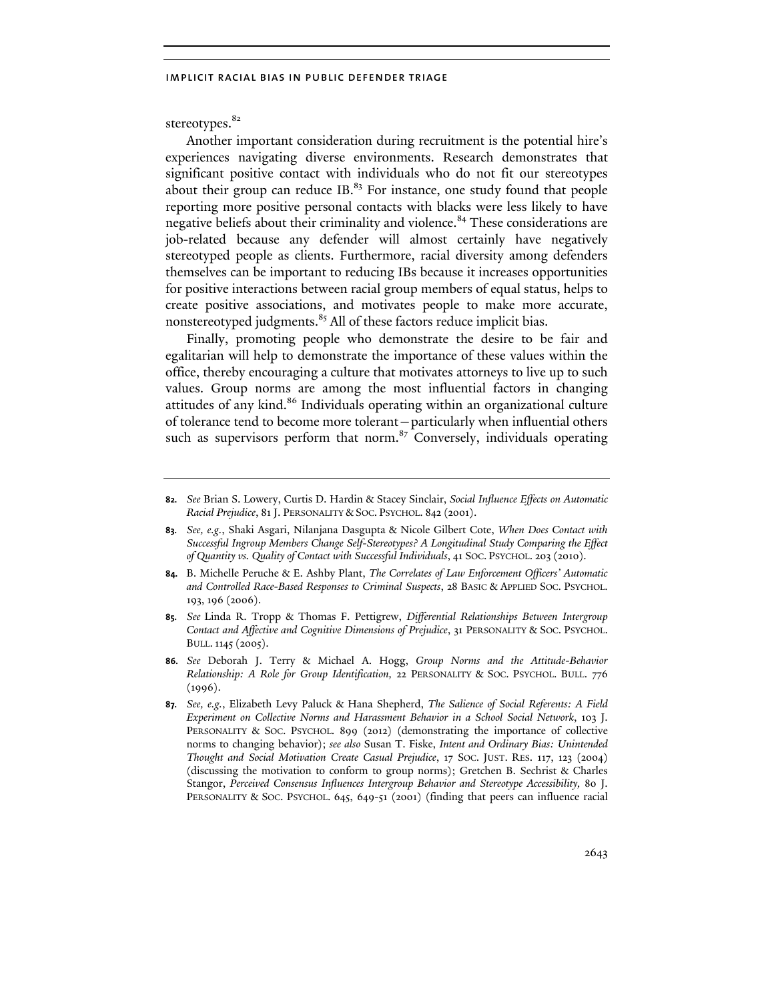stereotypes.<sup>82</sup>

Another important consideration during recruitment is the potential hire's experiences navigating diverse environments. Research demonstrates that significant positive contact with individuals who do not fit our stereotypes about their group can reduce IB. $^{83}$  For instance, one study found that people reporting more positive personal contacts with blacks were less likely to have negative beliefs about their criminality and violence.<sup>84</sup> These considerations are job-related because any defender will almost certainly have negatively stereotyped people as clients. Furthermore, racial diversity among defenders themselves can be important to reducing IBs because it increases opportunities for positive interactions between racial group members of equal status, helps to create positive associations, and motivates people to make more accurate, nonstereotyped judgments.<sup>85</sup> All of these factors reduce implicit bias.

Finally, promoting people who demonstrate the desire to be fair and egalitarian will help to demonstrate the importance of these values within the office, thereby encouraging a culture that motivates attorneys to live up to such values. Group norms are among the most influential factors in changing attitudes of any kind.<sup>86</sup> Individuals operating within an organizational culture of tolerance tend to become more tolerant—particularly when influential others such as supervisors perform that norm. $87$  Conversely, individuals operating

**<sup>82.</sup>** *See* Brian S. Lowery, Curtis D. Hardin & Stacey Sinclair, *Social Influence Effects on Automatic Racial Prejudice*, 81 J. PERSONALITY & SOC. PSYCHOL. 842 (2001).

**<sup>83.</sup>** *See, e.g.*, Shaki Asgari, Nilanjana Dasgupta & Nicole Gilbert Cote, *When Does Contact with Successful Ingroup Members Change Self-Stereotypes? A Longitudinal Study Comparing the Effect of Quantity vs. Quality of Contact with Successful Individuals*, 41 SOC. PSYCHOL. 203 (2010).

**<sup>84.</sup>** B. Michelle Peruche & E. Ashby Plant, *The Correlates of Law Enforcement Officers' Automatic and Controlled Race-Based Responses to Criminal Suspects*, 28 BASIC & APPLIED SOC. PSYCHOL. 193, 196 (2006).

**<sup>85.</sup>** *See* Linda R. Tropp & Thomas F. Pettigrew, *Differential Relationships Between Intergroup Contact and Affective and Cognitive Dimensions of Prejudice*, 31 PERSONALITY & SOC. PSYCHOL. BULL.1145 (2005).

**<sup>86.</sup>** *See* Deborah J. Terry & Michael A. Hogg, *Group Norms and the Attitude-Behavior Relationship: A Role for Group Identification,* 22 PERSONALITY & SOC. PSYCHOL. BULL. 776  $(1996).$ 

**<sup>87.</sup>** *See, e.g.*, Elizabeth Levy Paluck & Hana Shepherd, *The Salience of Social Referents: A Field Experiment on Collective Norms and Harassment Behavior in a School Social Network*, 103 J. PERSONALITY & SOC. PSYCHOL. 899 (2012) (demonstrating the importance of collective norms to changing behavior); *see also* Susan T. Fiske, *Intent and Ordinary Bias: Unintended Thought and Social Motivation Create Casual Prejudice*, 17 SOC. JUST. RES. 117, 123 (2004) (discussing the motivation to conform to group norms); Gretchen B. Sechrist & Charles Stangor, *Perceived Consensus Influences Intergroup Behavior and Stereotype Accessibility,* 80 J. PERSONALITY & SOC. PSYCHOL. 645, 649-51 (2001) (finding that peers can influence racial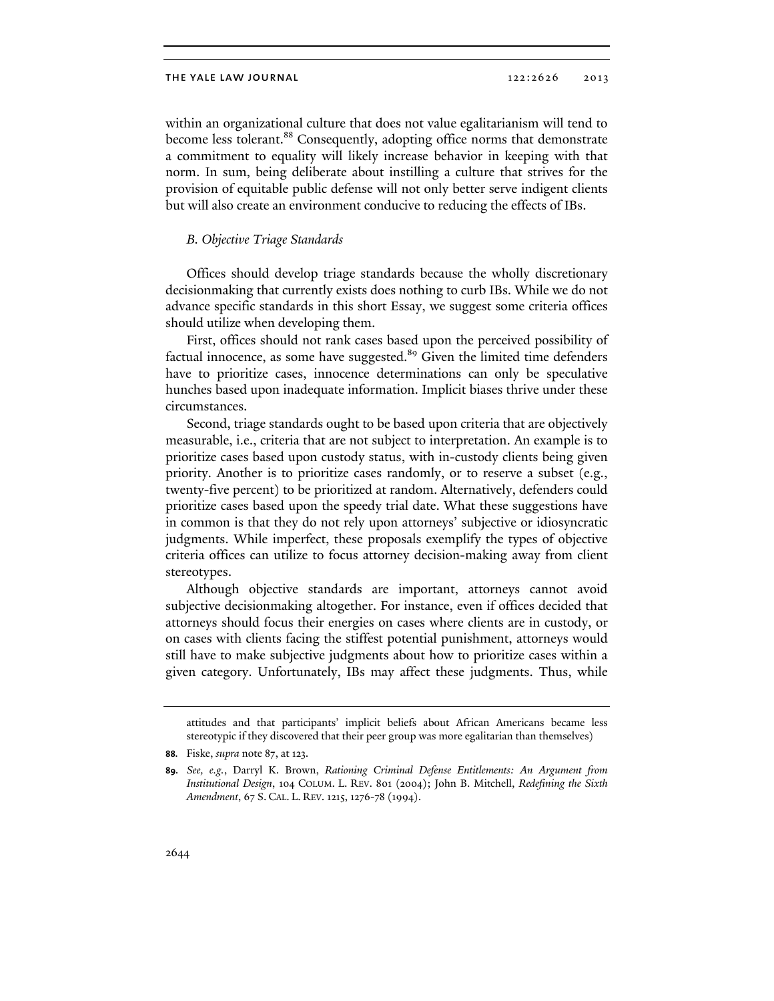within an organizational culture that does not value egalitarianism will tend to become less tolerant.<sup>88</sup> Consequently, adopting office norms that demonstrate a commitment to equality will likely increase behavior in keeping with that norm. In sum, being deliberate about instilling a culture that strives for the provision of equitable public defense will not only better serve indigent clients but will also create an environment conducive to reducing the effects of IBs.

#### *B. Objective Triage Standards*

Offices should develop triage standards because the wholly discretionary decisionmaking that currently exists does nothing to curb IBs. While we do not advance specific standards in this short Essay, we suggest some criteria offices should utilize when developing them.

First, offices should not rank cases based upon the perceived possibility of factual innocence, as some have suggested.<sup>89</sup> Given the limited time defenders have to prioritize cases, innocence determinations can only be speculative hunches based upon inadequate information. Implicit biases thrive under these circumstances.

Second, triage standards ought to be based upon criteria that are objectively measurable, i.e., criteria that are not subject to interpretation. An example is to prioritize cases based upon custody status, with in-custody clients being given priority. Another is to prioritize cases randomly, or to reserve a subset (e.g., twenty-five percent) to be prioritized at random. Alternatively, defenders could prioritize cases based upon the speedy trial date. What these suggestions have in common is that they do not rely upon attorneys' subjective or idiosyncratic judgments. While imperfect, these proposals exemplify the types of objective criteria offices can utilize to focus attorney decision-making away from client stereotypes.

Although objective standards are important, attorneys cannot avoid subjective decisionmaking altogether. For instance, even if offices decided that attorneys should focus their energies on cases where clients are in custody, or on cases with clients facing the stiffest potential punishment, attorneys would still have to make subjective judgments about how to prioritize cases within a given category. Unfortunately, IBs may affect these judgments. Thus, while

attitudes and that participants' implicit beliefs about African Americans became less stereotypic if they discovered that their peer group was more egalitarian than themselves)

**<sup>88.</sup>** Fiske, *supra* note 87, at 123.

**<sup>89.</sup>** *See, e.g.*, Darryl K. Brown, *Rationing Criminal Defense Entitlements: An Argument from Institutional Design*, 104 COLUM. L. REV. 801 (2004); John B. Mitchell, *Redefining the Sixth Amendment*, 67 S. CAL. L. REV. 1215, 1276-78 (1994).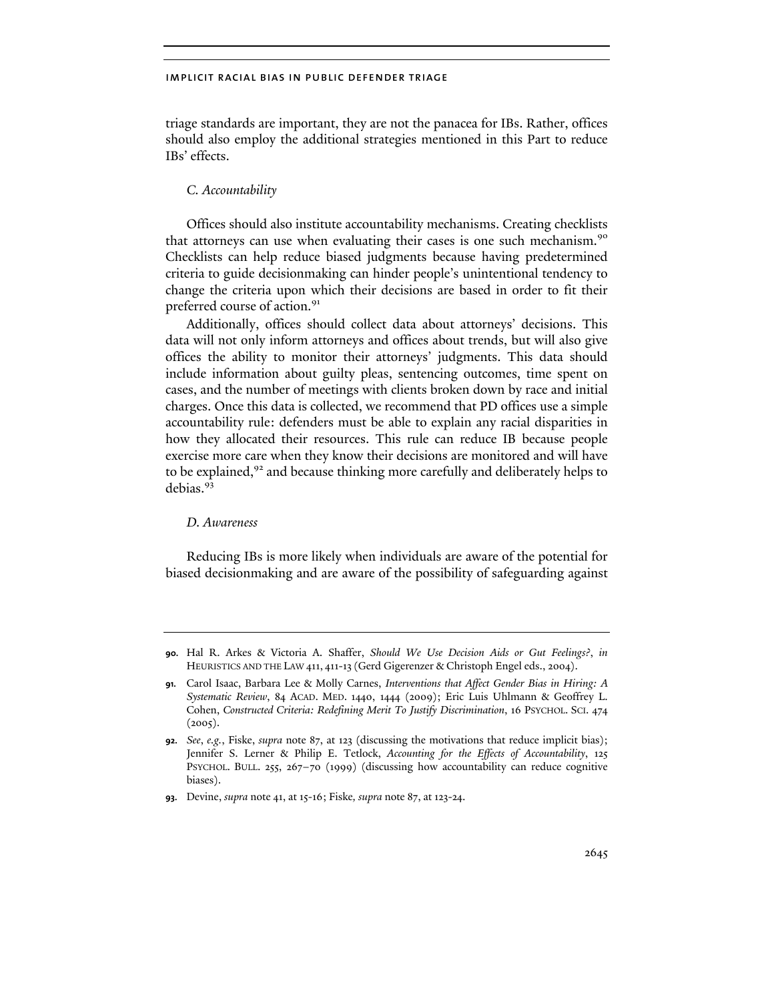triage standards are important, they are not the panacea for IBs. Rather, offices should also employ the additional strategies mentioned in this Part to reduce IBs' effects.

## *C. Accountability*

Offices should also institute accountability mechanisms. Creating checklists that attorneys can use when evaluating their cases is one such mechanism.<sup>90</sup> Checklists can help reduce biased judgments because having predetermined criteria to guide decisionmaking can hinder people's unintentional tendency to change the criteria upon which their decisions are based in order to fit their preferred course of action.<sup>91</sup>

Additionally, offices should collect data about attorneys' decisions. This data will not only inform attorneys and offices about trends, but will also give offices the ability to monitor their attorneys' judgments. This data should include information about guilty pleas, sentencing outcomes, time spent on cases, and the number of meetings with clients broken down by race and initial charges. Once this data is collected, we recommend that PD offices use a simple accountability rule: defenders must be able to explain any racial disparities in how they allocated their resources. This rule can reduce IB because people exercise more care when they know their decisions are monitored and will have to be explained,<sup>92</sup> and because thinking more carefully and deliberately helps to debias.<sup>93</sup>

#### *D. Awareness*

Reducing IBs is more likely when individuals are aware of the potential for biased decisionmaking and are aware of the possibility of safeguarding against

**<sup>90.</sup>** Hal R. Arkes & Victoria A. Shaffer, *Should We Use Decision Aids or Gut Feelings?*, *in*  HEURISTICS AND THE LAW 411, 411-13 (Gerd Gigerenzer & Christoph Engel eds., 2004).

**<sup>91.</sup>** Carol Isaac, Barbara Lee & Molly Carnes, *Interventions that Affect Gender Bias in Hiring: A Systematic Review*, 84 ACAD. MED. 1440, 1444 (2009); Eric Luis Uhlmann & Geoffrey L. Cohen, *Constructed Criteria: Redefining Merit To Justify Discrimination*, 16 PSYCHOL. SCI. 474  $(2005).$ 

**<sup>92.</sup>** *See*, *e.g.*, Fiske, *supra* note 87, at 123 (discussing the motivations that reduce implicit bias); Jennifer S. Lerner & Philip E. Tetlock, *Accounting for the Effects of Accountability*, 125 PSYCHOL. BULL. 255, 267-70 (1999) (discussing how accountability can reduce cognitive biases).

**<sup>93.</sup>** Devine, *supra* note 41, at 15-16; Fiske*, supra* note 87, at 123-24.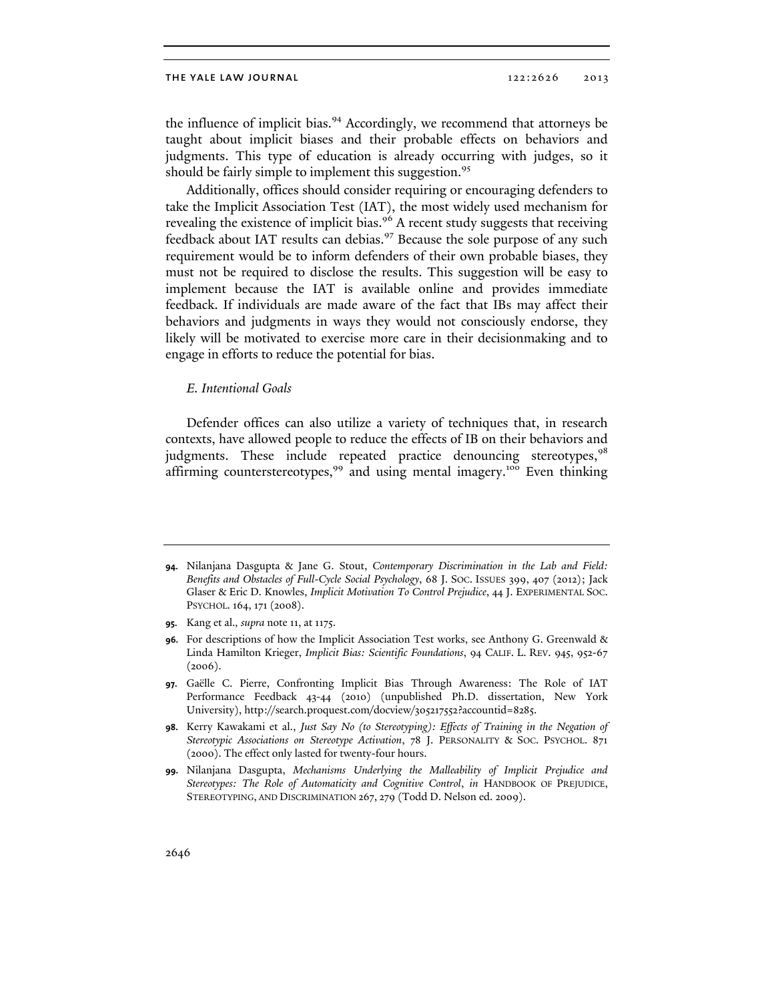the influence of implicit bias.<sup>94</sup> Accordingly, we recommend that attorneys be taught about implicit biases and their probable effects on behaviors and judgments. This type of education is already occurring with judges, so it should be fairly simple to implement this suggestion.<sup>95</sup>

Additionally, offices should consider requiring or encouraging defenders to take the Implicit Association Test (IAT), the most widely used mechanism for revealing the existence of implicit bias.<sup>96</sup> A recent study suggests that receiving feedback about IAT results can debias.<sup>97</sup> Because the sole purpose of any such requirement would be to inform defenders of their own probable biases, they must not be required to disclose the results. This suggestion will be easy to implement because the IAT is available online and provides immediate feedback. If individuals are made aware of the fact that IBs may affect their behaviors and judgments in ways they would not consciously endorse, they likely will be motivated to exercise more care in their decisionmaking and to engage in efforts to reduce the potential for bias.

#### *E. Intentional Goals*

Defender offices can also utilize a variety of techniques that, in research contexts, have allowed people to reduce the effects of IB on their behaviors and judgments. These include repeated practice denouncing stereotypes,<sup>98</sup> affirming counterstereotypes, $99$  and using mental imagery.<sup>100</sup> Even thinking

**<sup>94.</sup>** Nilanjana Dasgupta & Jane G. Stout, *Contemporary Discrimination in the Lab and Field: Benefits and Obstacles of Full-Cycle Social Psychology*, 68 J. SOC. ISSUES 399, 407 (2012); Jack Glaser & Eric D. Knowles, *Implicit Motivation To Control Prejudice*, 44 J. EXPERIMENTAL SOC. PSYCHOL. 164, 171 (2008).

**<sup>95.</sup>** Kang et al.*, supra* note 11, at 1175.

**<sup>96.</sup>** For descriptions of how the Implicit Association Test works, see Anthony G. Greenwald & Linda Hamilton Krieger, *Implicit Bias: Scientific Foundations*, 94 CALIF. L. REV. 945, 952-67  $(2006).$ 

**<sup>97.</sup>** Gaëlle C. Pierre, Confronting Implicit Bias Through Awareness: The Role of IAT Performance Feedback 43-44 (2010) (unpublished Ph.D. dissertation, New York University), http://search.proquest.com/docview/305217552?accountid=8285.

**<sup>98.</sup>** Kerry Kawakami et al., *Just Say No (to Stereotyping): Effects of Training in the Negation of Stereotypic Associations on Stereotype Activation*, 78 J. PERSONALITY & SOC. PSYCHOL. 871 (2000). The effect only lasted for twenty-four hours.

**<sup>99.</sup>** Nilanjana Dasgupta, *Mechanisms Underlying the Malleability of Implicit Prejudice and Stereotypes: The Role of Automaticity and Cognitive Control*, *in* HANDBOOK OF PREJUDICE, STEREOTYPING, AND DISCRIMINATION 267, 279 (Todd D. Nelson ed. 2009).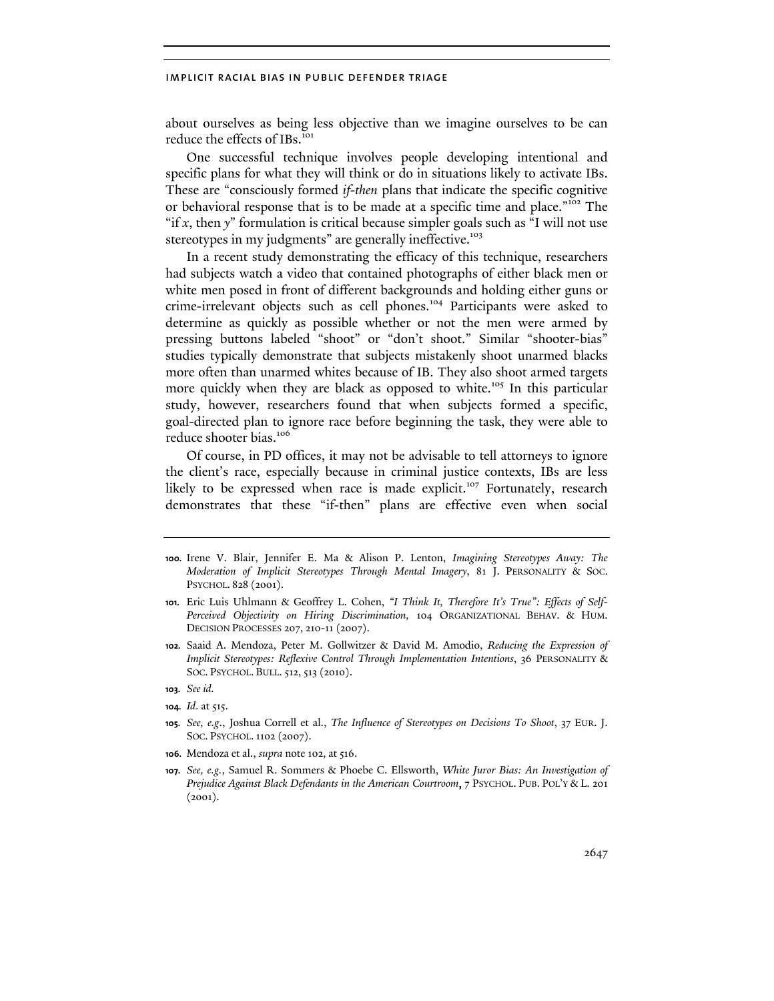about ourselves as being less objective than we imagine ourselves to be can reduce the effects of IBs.<sup>101</sup>

One successful technique involves people developing intentional and specific plans for what they will think or do in situations likely to activate IBs. These are "consciously formed *if-then* plans that indicate the specific cognitive or behavioral response that is to be made at a specific time and place."102 The "if *x*, then *y*" formulation is critical because simpler goals such as "I will not use stereotypes in my judgments" are generally ineffective.<sup>103</sup>

In a recent study demonstrating the efficacy of this technique, researchers had subjects watch a video that contained photographs of either black men or white men posed in front of different backgrounds and holding either guns or crime-irrelevant objects such as cell phones.<sup>104</sup> Participants were asked to determine as quickly as possible whether or not the men were armed by pressing buttons labeled "shoot" or "don't shoot." Similar "shooter-bias" studies typically demonstrate that subjects mistakenly shoot unarmed blacks more often than unarmed whites because of IB. They also shoot armed targets more quickly when they are black as opposed to white.<sup>105</sup> In this particular study, however, researchers found that when subjects formed a specific, goal-directed plan to ignore race before beginning the task, they were able to reduce shooter bias.<sup>106</sup>

Of course, in PD offices, it may not be advisable to tell attorneys to ignore the client's race, especially because in criminal justice contexts, IBs are less likely to be expressed when race is made explicit.<sup>107</sup> Fortunately, research demonstrates that these "if-then" plans are effective even when social

- **100.** Irene V. Blair, Jennifer E. Ma & Alison P. Lenton, *Imagining Stereotypes Away: The Moderation of Implicit Stereotypes Through Mental Imagery*, 81 J. PERSONALITY & SOC. PSYCHOL. 828 (2001).
- **101.** Eric Luis Uhlmann & Geoffrey L. Cohen, *"I Think It, Therefore It's True": Effects of Self-Perceived Objectivity on Hiring Discrimination,* 104 ORGANIZATIONAL BEHAV. & HUM. DECISION PROCESSES 207, 210-11 (2007).
- **102.** Saaid A. Mendoza, Peter M. Gollwitzer & David M. Amodio, *Reducing the Expression of Implicit Stereotypes: Reflexive Control Through Implementation Intentions*, 36 PERSONALITY & SOC. PSYCHOL. BULL. 512, 513 (2010).
- **103.** *See id.*
- **104.** *Id*. at 515.
- **105.** *See, e.g*., Joshua Correll et al., *The Influence of Stereotypes on Decisions To Shoot*, 37 EUR*.* J. SOC. PSYCHOL.1102 (2007).
- **106.** Mendoza et al., *supra* note 102, at 516.
- **107.** *See, e.g.*, Samuel R. Sommers & Phoebe C. Ellsworth, *White Juror Bias: An Investigation of Prejudice Against Black Defendants in the American Courtroom*, 7 PSYCHOL. PUB. POL'Y & L. 201  $(2001).$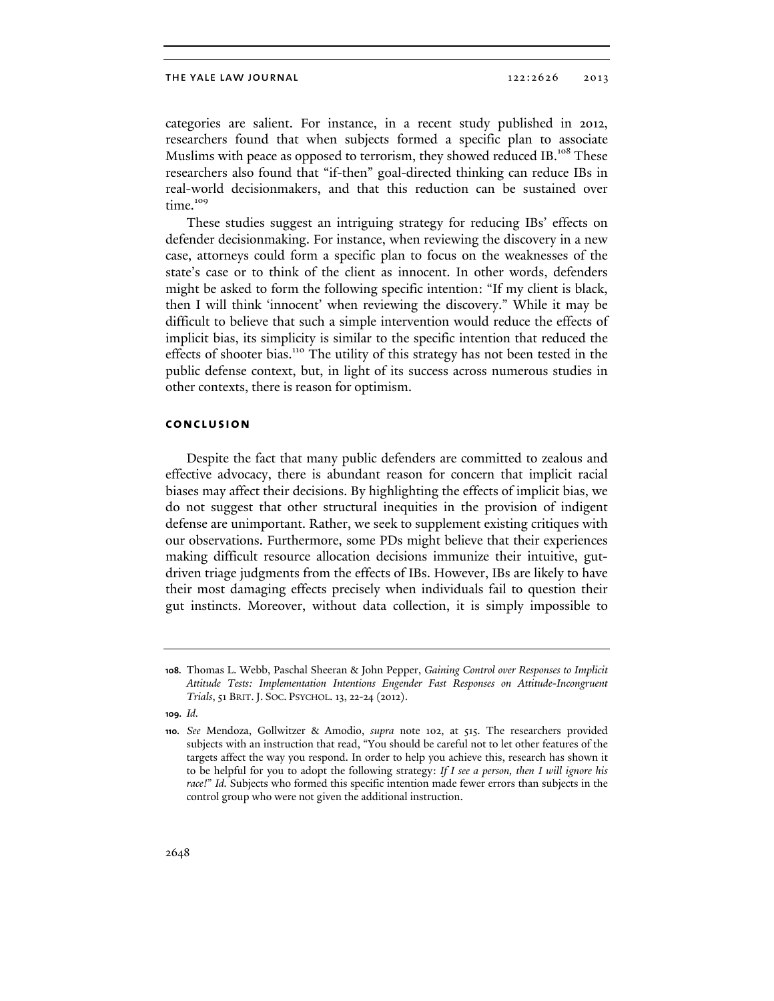categories are salient. For instance, in a recent study published in 2012, researchers found that when subjects formed a specific plan to associate Muslims with peace as opposed to terrorism, they showed reduced IB.<sup>108</sup> These researchers also found that "if-then" goal-directed thinking can reduce IBs in real-world decisionmakers, and that this reduction can be sustained over time.<sup>109</sup>

These studies suggest an intriguing strategy for reducing IBs' effects on defender decisionmaking. For instance, when reviewing the discovery in a new case, attorneys could form a specific plan to focus on the weaknesses of the state's case or to think of the client as innocent. In other words, defenders might be asked to form the following specific intention: "If my client is black, then I will think 'innocent' when reviewing the discovery." While it may be difficult to believe that such a simple intervention would reduce the effects of implicit bias, its simplicity is similar to the specific intention that reduced the effects of shooter bias.<sup>110</sup> The utility of this strategy has not been tested in the public defense context, but, in light of its success across numerous studies in other contexts, there is reason for optimism.

## **conclusion**

Despite the fact that many public defenders are committed to zealous and effective advocacy, there is abundant reason for concern that implicit racial biases may affect their decisions. By highlighting the effects of implicit bias, we do not suggest that other structural inequities in the provision of indigent defense are unimportant. Rather, we seek to supplement existing critiques with our observations. Furthermore, some PDs might believe that their experiences making difficult resource allocation decisions immunize their intuitive, gutdriven triage judgments from the effects of IBs. However, IBs are likely to have their most damaging effects precisely when individuals fail to question their gut instincts. Moreover, without data collection, it is simply impossible to

**<sup>108.</sup>** Thomas L. Webb, Paschal Sheeran & John Pepper, *Gaining Control over Responses to Implicit Attitude Tests: Implementation Intentions Engender Fast Responses on Attitude-Incongruent Trials*, 51 BRIT.J. SOC. PSYCHOL. 13, 22-24 (2012).

**<sup>109.</sup>** *Id.*

**<sup>110.</sup>** *See* Mendoza, Gollwitzer & Amodio, *supra* note 102, at 515. The researchers provided subjects with an instruction that read, "You should be careful not to let other features of the targets affect the way you respond. In order to help you achieve this, research has shown it to be helpful for you to adopt the following strategy: *If I see a person, then I will ignore his race!*" *Id.* Subjects who formed this specific intention made fewer errors than subjects in the control group who were not given the additional instruction.